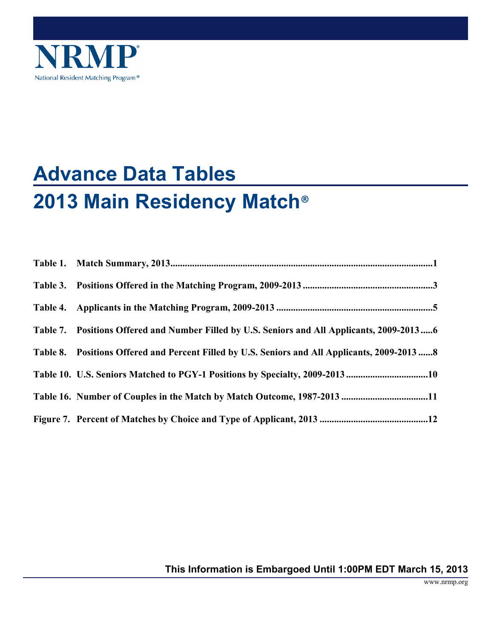

# **Advance Data Tables 2013 Main Residency Match**®

| Table 7. Positions Offered and Number Filled by U.S. Seniors and All Applicants, 2009-20136   |
|-----------------------------------------------------------------------------------------------|
| Table 8. Positions Offered and Percent Filled by U.S. Seniors and All Applicants, 2009-2013 8 |
| Table 10. U.S. Seniors Matched to PGY-1 Positions by Specialty, 2009-2013 10                  |
|                                                                                               |
|                                                                                               |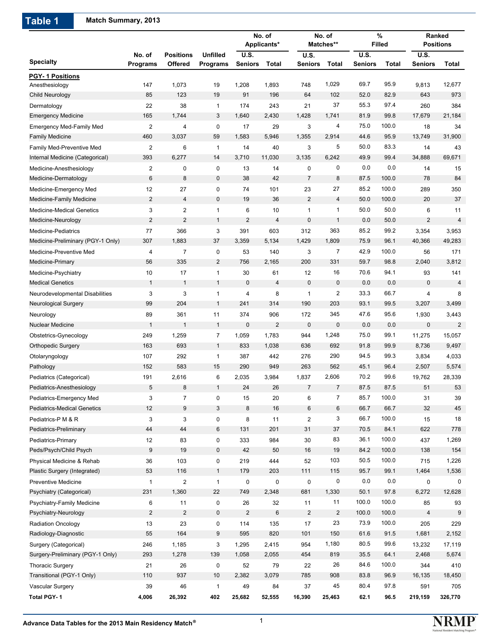**Table 1 Match Summary, 2013**

|                                    |                    |                             |                                    |                        | No. of<br>Applicants* |                         | No. of<br>Matches**     |                               | $\%$<br><b>Filled</b> |                               | Ranked<br><b>Positions</b> |
|------------------------------------|--------------------|-----------------------------|------------------------------------|------------------------|-----------------------|-------------------------|-------------------------|-------------------------------|-----------------------|-------------------------------|----------------------------|
| <b>Specialty</b>                   | No. of<br>Programs | <b>Positions</b><br>Offered | <b>Unfilled</b><br><b>Programs</b> | <b>U.S.</b><br>Seniors | Total                 | U.S.<br><b>Seniors</b>  | Total                   | <b>U.S.</b><br><b>Seniors</b> | Total                 | <b>U.S.</b><br><b>Seniors</b> | Total                      |
| PGY-1 Positions                    |                    |                             |                                    |                        |                       |                         |                         |                               |                       |                               |                            |
| Anesthesiology                     | 147                | 1,073                       | 19                                 | 1,208                  | 1,893                 | 748                     | 1,029                   | 69.7                          | 95.9                  | 9,813                         | 12,677                     |
| Child Neurology                    | 85                 | 123                         | 19                                 | 91                     | 196                   | 64                      | 102                     | 52.0                          | 82.9                  | 643                           | 973                        |
| Dermatology                        | 22                 | 38                          | $\mathbf{1}$                       | 174                    | 243                   | 21                      | 37                      | 55.3                          | 97.4                  | 260                           | 384                        |
| <b>Emergency Medicine</b>          | 165                | 1,744                       | 3                                  | 1,640                  | 2,430                 | 1,428                   | 1,741                   | 81.9                          | 99.8                  | 17,679                        | 21,184                     |
| <b>Emergency Med-Family Med</b>    | $\overline{2}$     | 4                           | 0                                  | 17                     | 29                    | 3                       | 4                       | 75.0                          | 100.0                 | 18                            | 34                         |
| <b>Family Medicine</b>             | 460                | 3,037                       | 59                                 | 1,583                  | 5,946                 | 1,355                   | 2,914                   | 44.6                          | 95.9                  | 13,749                        | 31,900                     |
| Family Med-Preventive Med          | $\overline{2}$     | 6                           | $\mathbf{1}$                       | 14                     | 40                    | 3                       | 5                       | 50.0                          | 83.3                  | 14                            | 43                         |
| Internal Medicine (Categorical)    | 393                | 6,277                       | 14                                 | 3,710                  | 11,030                | 3,135                   | 6,242                   | 49.9                          | 99.4                  | 34,888                        | 69,671                     |
| Medicine-Anesthesiology            | $\overline{2}$     | 0                           | 0                                  | 13                     | 14                    | 0                       | 0                       | 0.0                           | 0.0                   | 14                            | 15                         |
| Medicine-Dermatology               | 6                  | 8                           | $\pmb{0}$                          | 38                     | 42                    | $\overline{7}$          | 8                       | 87.5                          | 100.0                 | 78                            | 84                         |
| Medicine-Emergency Med             | 12                 | 27                          | 0                                  | 74                     | 101                   | 23                      | 27                      | 85.2                          | 100.0                 | 289                           | 350                        |
| Medicine-Family Medicine           | $\overline{2}$     | 4                           | 0                                  | 19                     | 36                    | $\overline{2}$          | $\overline{\mathbf{4}}$ | 50.0                          | 100.0                 | 20                            | 37                         |
| <b>Medicine-Medical Genetics</b>   | 3                  | 2                           | $\mathbf{1}$                       | 6                      | 10                    | $\mathbf{1}$            | 1                       | 50.0                          | 50.0                  | 6                             | 11                         |
| Medicine-Neurology                 | $\mathbf{2}$       | 2                           | $\mathbf{1}$                       | $\overline{2}$         | 4                     | 0                       | $\mathbf{1}$            | 0.0                           | 50.0                  | $\overline{2}$                | $\overline{4}$             |
| Medicine-Pediatrics                | 77                 | 366                         | 3                                  | 391                    | 603                   | 312                     | 363                     | 85.2                          | 99.2                  | 3,354                         | 3,953                      |
| Medicine-Preliminary (PGY-1 Only)  | 307                | 1,883                       | 37                                 | 3,359                  | 5,134                 | 1,429                   | 1,809                   | 75.9                          | 96.1                  | 40,366                        | 49,283                     |
| Medicine-Preventive Med            | 4                  | $\overline{7}$              | 0                                  | 53                     | 140                   | 3                       | 7                       | 42.9                          | 100.0                 | 56                            | 171                        |
| Medicine-Primary                   | 56                 | 335                         | $\overline{2}$                     | 756                    | 2,165                 | 200                     | 331                     | 59.7                          | 98.8                  | 2,040                         | 3,812                      |
| Medicine-Psychiatry                | 10                 | 17                          | $\mathbf{1}$                       | 30                     | 61                    | 12                      | 16                      | 70.6                          | 94.1                  | 93                            | 141                        |
| <b>Medical Genetics</b>            | $\mathbf{1}$       | $\mathbf{1}$                | $\mathbf{1}$                       | $\mathbf 0$            | 4                     | 0                       | 0                       | 0.0                           | 0.0                   | 0                             | $\overline{4}$             |
| Neurodevelopmental Disabilities    | 3                  | 3                           | $\mathbf{1}$                       | 4                      | 8                     | 1                       | 2                       | 33.3                          | 66.7                  | 4                             | 8                          |
| <b>Neurological Surgery</b>        | 99                 | 204                         | $\mathbf{1}$                       | 241                    | 314                   | 190                     | 203                     | 93.1                          | 99.5                  | 3,207                         | 3,499                      |
| Neurology                          | 89                 | 361                         | 11                                 | 374                    | 906                   | 172                     | 345                     | 47.6                          | 95.6                  | 1,930                         | 3,443                      |
| <b>Nuclear Medicine</b>            | $\mathbf{1}$       | $\mathbf{1}$                | $\mathbf{1}$                       | $\mathbf 0$            | $\overline{2}$        | 0                       | $\mathbf 0$             | 0.0                           | 0.0                   | $\mathbf 0$                   | $\overline{2}$             |
| Obstetrics-Gynecology              | 249                | 1,259                       | 7                                  | 1,059                  | 1,783                 | 944                     | 1,248                   | 75.0                          | 99.1                  | 11,275                        | 15,057                     |
| <b>Orthopedic Surgery</b>          | 163                | 693                         | $\mathbf{1}$                       | 833                    | 1,038                 | 636                     | 692                     | 91.8                          | 99.9                  | 8,736                         | 9,497                      |
| Otolaryngology                     | 107                | 292                         | $\mathbf{1}$                       | 387                    | 442                   | 276                     | 290                     | 94.5                          | 99.3                  | 3,834                         | 4,033                      |
| Pathology                          | 152                | 583                         | 15                                 | 290                    | 949                   | 263                     | 562                     | 45.1                          | 96.4                  | 2,507                         | 5,574                      |
| Pediatrics (Categorical)           | 191                | 2,616                       | 6                                  | 2,035                  | 3,984                 | 1,837                   | 2,606                   | 70.2                          | 99.6                  | 19,762                        | 28,339                     |
| Pediatrics-Anesthesiology          | 5                  | 8                           | $\mathbf{1}$                       | 24                     | 26                    | 7                       | 7                       | 87.5                          | 87.5                  | 51                            | 53                         |
| Pediatrics-Emergency Med           | 3                  | $\overline{7}$              | 0                                  | 15                     | 20                    | 6                       | $\overline{7}$          | 85.7                          | 100.0                 | 31                            | 39                         |
| <b>Pediatrics-Medical Genetics</b> | 12                 | 9                           | $\sqrt{3}$                         | 8                      | 16                    | 6                       | 6                       | 66.7                          | 66.7                  | 32                            | 45                         |
| Pediatrics-P M & R                 | 3                  | 3                           | 0                                  | 8                      | 11                    | 2                       | 3                       | 66.7                          | 100.0                 | 15                            | 18                         |
| Pediatrics-Preliminary             | 44                 | 44                          | 6                                  | 131                    | 201                   | 31                      | 37                      | 70.5                          | 84.1                  | 622                           | 778                        |
| Pediatrics-Primary                 | 12                 | 83                          | 0                                  | 333                    | 984                   | 30                      | 83                      | 36.1                          | 100.0                 | 437                           | 1,269                      |
| Peds/Psych/Child Psych             | $\boldsymbol{9}$   | 19                          | $\pmb{0}$                          | 42                     | 50                    | 16                      | 19                      | 84.2                          | 100.0                 | 138                           | 154                        |
| Physical Medicine & Rehab          | 36                 | 103                         | 0                                  | 219                    | 444                   | 52                      | 103                     | 50.5                          | 100.0                 | 715                           | 1,226                      |
| Plastic Surgery (Integrated)       | 53                 | 116                         | $\mathbf{1}$                       | 179                    | 203                   | 111                     | 115                     | 95.7                          | 99.1                  | 1,464                         | 1,536                      |
| <b>Preventive Medicine</b>         | 1                  | 2                           | $\mathbf{1}$                       | 0                      | $\pmb{0}$             | 0                       | 0                       | 0.0                           | 0.0                   | 0                             | 0                          |
| Psychiatry (Categorical)           | 231                | 1,360                       | 22                                 | 749                    | 2,348                 | 681                     | 1,330                   | 50.1                          | 97.8                  | 6,272                         | 12,628                     |
| Psychiatry-Family Medicine         | 6                  | 11                          | 0                                  | 26                     | 32                    | 11                      | 11                      | 100.0                         | 100.0                 | 85                            | 93                         |
| Psychiatry-Neurology               | $\overline{c}$     | $\overline{2}$              | $\pmb{0}$                          | $\overline{2}$         | $\,6$                 | $\overline{\mathbf{c}}$ | $\overline{c}$          | 100.0                         | 100.0                 | 4                             | 9                          |
| <b>Radiation Oncology</b>          | 13                 | 23                          | 0                                  | 114                    | 135                   | 17                      | 23                      | 73.9                          | 100.0                 | 205                           | 229                        |
| Radiology-Diagnostic               | 55                 | 164                         | 9                                  | 595                    | 820                   | 101                     | 150                     | 61.6                          | 91.5                  | 1,681                         | 2,152                      |
| Surgery (Categorical)              | 246                | 1,185                       | 3                                  | 1,295                  | 2,415                 | 954                     | 1,180                   | 80.5                          | 99.6                  | 13,232                        | 17,119                     |
| Surgery-Preliminary (PGY-1 Only)   | 293                | 1,278                       | 139                                | 1,058                  | 2,055                 | 454                     | 819                     | 35.5                          | 64.1                  | 2,468                         | 5,674                      |
| <b>Thoracic Surgery</b>            | 21                 | 26                          | $\pmb{0}$                          | 52                     | 79                    | 22                      | 26                      | 84.6                          | 100.0                 | 344                           | 410                        |
| Transitional (PGY-1 Only)          | 110                | 937                         | 10                                 | 2,382                  | 3,079                 | 785                     | 908                     | 83.8                          | 96.9                  | 16,135                        | 18,450                     |
| Vascular Surgery                   | 39                 | 46                          | $\mathbf{1}$                       | 49                     | 84                    | 37                      | 45                      | 80.4                          | 97.8                  | 591                           | 705                        |
| Total PGY-1                        | 4,006              | 26,392                      | 402                                | 25,682                 | 52,555                | 16,390                  | 25,463                  | 62.1                          | 96.5                  | 219,159                       | 326,770                    |

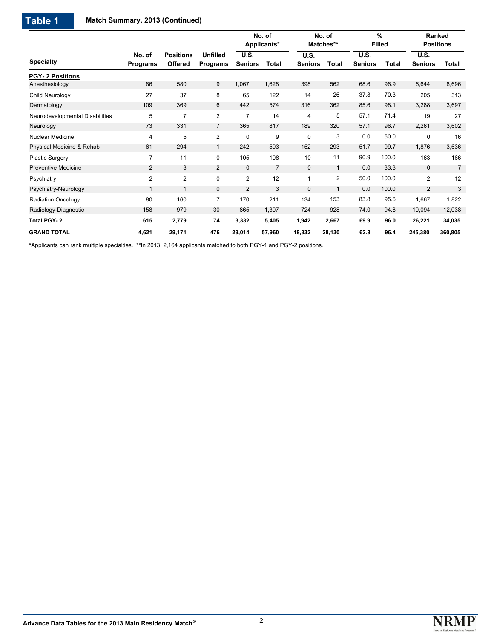# **Table 1 Match Summary, 2013 (Continued)**

|                                 |                           |                             |                                    |                               | No. of<br>Applicants* |                        | No. of<br>Matches** |                        | $\%$<br><b>Filled</b> | Ranked<br><b>Positions</b>    |                |
|---------------------------------|---------------------------|-----------------------------|------------------------------------|-------------------------------|-----------------------|------------------------|---------------------|------------------------|-----------------------|-------------------------------|----------------|
| <b>Specialty</b>                | No. of<br><b>Programs</b> | <b>Positions</b><br>Offered | <b>Unfilled</b><br><b>Programs</b> | <b>U.S.</b><br><b>Seniors</b> | <b>Total</b>          | U.S.<br><b>Seniors</b> | Total               | U.S.<br><b>Seniors</b> | <b>Total</b>          | <b>U.S.</b><br><b>Seniors</b> | Total          |
| <b>PGY-2 Positions</b>          |                           |                             |                                    |                               |                       |                        |                     |                        |                       |                               |                |
| Anesthesiology                  | 86                        | 580                         | 9                                  | 1,067                         | 1,628                 | 398                    | 562                 | 68.6                   | 96.9                  | 6,644                         | 8,696          |
| Child Neurology                 | 27                        | 37                          | 8                                  | 65                            | 122                   | 14                     | 26                  | 37.8                   | 70.3                  | 205                           | 313            |
| Dermatology                     | 109                       | 369                         | 6                                  | 442                           | 574                   | 316                    | 362                 | 85.6                   | 98.1                  | 3,288                         | 3,697          |
| Neurodevelopmental Disabilities | 5                         | 7                           | $\overline{2}$                     | $\overline{7}$                | 14                    | 4                      | 5                   | 57.1                   | 71.4                  | 19                            | 27             |
| Neurology                       | 73                        | 331                         | $\overline{7}$                     | 365                           | 817                   | 189                    | 320                 | 57.1                   | 96.7                  | 2,261                         | 3,602          |
| <b>Nuclear Medicine</b>         | 4                         | 5                           | 2                                  | 0                             | 9                     | 0                      | 3                   | 0.0                    | 60.0                  | $\mathbf 0$                   | 16             |
| Physical Medicine & Rehab       | 61                        | 294                         | 1                                  | 242                           | 593                   | 152                    | 293                 | 51.7                   | 99.7                  | 1,876                         | 3,636          |
| <b>Plastic Surgery</b>          | $\overline{7}$            | 11                          | $\mathbf 0$                        | 105                           | 108                   | 10                     | 11                  | 90.9                   | 100.0                 | 163                           | 166            |
| <b>Preventive Medicine</b>      | $\overline{2}$            | 3                           | $\overline{2}$                     | $\mathbf 0$                   | $\overline{7}$        | $\mathbf{0}$           | $\mathbf{1}$        | 0.0                    | 33.3                  | $\mathbf{0}$                  | $\overline{7}$ |
| Psychiatry                      | 2                         | 2                           | $\mathbf 0$                        | $\overline{2}$                | 12                    | $\mathbf{1}$           | $\overline{2}$      | 50.0                   | 100.0                 | $\overline{2}$                | 12             |
| Psychiatry-Neurology            | 1                         |                             | $\mathbf{0}$                       | $\overline{2}$                | 3                     | $\mathbf{0}$           | $\mathbf{1}$        | 0.0                    | 100.0                 | $\overline{2}$                | 3              |
| <b>Radiation Oncology</b>       | 80                        | 160                         | $\overline{7}$                     | 170                           | 211                   | 134                    | 153                 | 83.8                   | 95.6                  | 1,667                         | 1,822          |
| Radiology-Diagnostic            | 158                       | 979                         | 30                                 | 865                           | 1,307                 | 724                    | 928                 | 74.0                   | 94.8                  | 10,094                        | 12,038         |
| <b>Total PGY-2</b>              | 615                       | 2,779                       | 74                                 | 3,332                         | 5,405                 | 1,942                  | 2,667               | 69.9                   | 96.0                  | 26,221                        | 34,035         |
| <b>GRAND TOTAL</b>              | 4,621                     | 29,171                      | 476                                | 29,014                        | 57,960                | 18,332                 | 28,130              | 62.8                   | 96.4                  | 245,380                       | 360,805        |

\*Applicants can rank multiple specialties. \*\*In 2013, 2,164 applicants matched to both PGY-1 and PGY-2 positions.

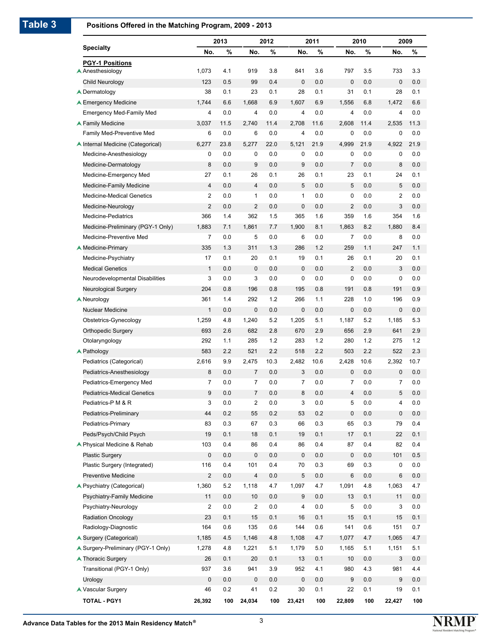#### **Positions Offered in the Matching Program, 2009 - 2013**

|                                    |                         | 2013    |                         | 2012    |                  | 2011  |                | 2010    |                | 2009 |
|------------------------------------|-------------------------|---------|-------------------------|---------|------------------|-------|----------------|---------|----------------|------|
| <b>Specialty</b>                   | No.                     | %       | No.                     | %       | No.              | %     | No.            | %       | No.            | %    |
| <b>PGY-1 Positions</b>             |                         |         |                         |         |                  |       |                |         |                |      |
| A Anesthesiology                   | 1,073                   | 4.1     | 919                     | 3.8     | 841              | 3.6   | 797            | 3.5     | 733            | 3.3  |
| Child Neurology                    | 123                     | 0.5     | 99                      | 0.4     | 0                | 0.0   | 0              | 0.0     | 0              | 0.0  |
| <b>▲ Dermatology</b>               | 38                      | 0.1     | 23                      | 0.1     | 28               | 0.1   | 31             | 0.1     | 28             | 0.1  |
| <b>▲ Emergency Medicine</b>        | 1,744                   | 6.6     | 1,668                   | 6.9     | 1,607            | 6.9   | 1,556          | 6.8     | 1,472          | 6.6  |
| <b>Emergency Med-Family Med</b>    | 4                       | 0.0     | 4                       | 0.0     | 4                | 0.0   | 4              | 0.0     | 4              | 0.0  |
| <b>A Family Medicine</b>           | 3.037                   | 11.5    | 2,740                   | 11.4    | 2,708            | 11.6  | 2,608          | 11.4    | 2.535          | 11.3 |
| Family Med-Preventive Med          | 6                       | 0.0     | 6                       | 0.0     | 4                | 0.0   | 0              | 0.0     | 0              | 0.0  |
| ▲ Internal Medicine (Categorical)  | 6,277                   | 23.8    | 5,277                   | 22.0    | 5,121            | 21.9  | 4,999          | 21.9    | 4,922          | 21.9 |
| Medicine-Anesthesiology            | 0                       | 0.0     | 0                       | 0.0     | 0                | 0.0   | 0              | 0.0     | 0              | 0.0  |
| Medicine-Dermatology               | 8                       | 0.0     | 9                       | 0.0     | 9                | 0.0   | $\overline{7}$ | 0.0     | 8              | 0.0  |
| Medicine-Emergency Med             | 27                      | 0.1     | 26                      | 0.1     | 26               | 0.1   | 23             | 0.1     | 24             | 0.1  |
| Medicine-Family Medicine           | $\overline{\mathbf{4}}$ | 0.0     | 4                       | 0.0     | 5                | 0.0   | 5              | 0.0     | 5              | 0.0  |
| <b>Medicine-Medical Genetics</b>   | 2                       | 0.0     | 1                       | 0.0     | 1                | 0.0   | 0              | 0.0     | 2              | 0.0  |
| Medicine-Neurology                 | $\overline{2}$          | 0.0     | 2                       | 0.0     | 0                | 0.0   | 2              | 0.0     | 3              | 0.0  |
| Medicine-Pediatrics                | 366                     | 1.4     | 362                     | 1.5     | 365              | 1.6   | 359            | 1.6     | 354            | 1.6  |
| Medicine-Preliminary (PGY-1 Only)  | 1,883                   | 7.1     | 1,861                   | 7.7     | 1,900            | 8.1   | 1,863          | 8.2     | 1,880          | 8.4  |
| Medicine-Preventive Med            | $\overline{7}$          | 0.0     | 5                       | 0.0     | 6                | 0.0   | 7              | 0.0     | 8              | 0.0  |
| A Medicine-Primary                 | 335                     | 1.3     | 311                     | 1.3     | 286              | 1.2   | 259            | 1.1     | 247            | 1.1  |
| Medicine-Psychiatry                | 17                      | 0.1     | 20                      | 0.1     | 19               | 0.1   | 26             | 0.1     | 20             | 0.1  |
| <b>Medical Genetics</b>            | $\mathbf{1}$            | 0.0     | 0                       | 0.0     | 0                | 0.0   | $\overline{2}$ | 0.0     | 3              | 0.0  |
| Neurodevelopmental Disabilities    | 3                       | 0.0     | 3                       | 0.0     | 0                | 0.0   | 0              | 0.0     | 0              | 0.0  |
| Neurological Surgery               | 204                     | 0.8     | 196                     | 0.8     | 195              | 0.8   | 191            | 0.8     | 191            | 0.9  |
| A Neurology                        | 361                     | 1.4     | 292                     | 1.2     | 266              | 1.1   | 228            | 1.0     | 196            | 0.9  |
| Nuclear Medicine                   | $\mathbf{1}$            | 0.0     | $\mathbf 0$             | 0.0     | 0                | 0.0   | $\mathbf 0$    | 0.0     | 0              | 0.0  |
| Obstetrics-Gynecology              | 1,259                   | 4.8     | 1,240                   | 5.2     | 1,205            | 5.1   | 1,187          | 5.2     | 1,185          | 5.3  |
| <b>Orthopedic Surgery</b>          | 693                     | 2.6     | 682                     | 2.8     | 670              | 2.9   | 656            | 2.9     | 641            | 2.9  |
| Otolaryngology                     | 292                     | 1.1     | 285                     | 1.2     | 283              | 1.2   | 280            | 1.2     | 275            | 1.2  |
| $\triangle$ Pathology              | 583                     | 2.2     | 521                     | 2.2     | 518              | 2.2   | 503            | 2.2     | 522            | 2.3  |
| Pediatrics (Categorical)           | 2,616                   | 9.9     | 2,475                   | 10.3    | 2,482            | 10.6  | 2.428          | 10.6    | 2,392          | 10.7 |
| Pediatrics-Anesthesiology          | 8                       | 0.0     | 7                       | 0.0     | 3                | 0.0   | 0              | 0.0     | 0              | 0.0  |
| Pediatrics-Emergency Med           | $\overline{7}$          | 0.0     | 7                       | 0.0     | 7                | 0.0   | 7              | 0.0     | $\overline{7}$ | 0.0  |
| Pediatrics-Medical Genetics        | 9                       | 0.0     | 7                       | 0.0     | 8                | 0.0   | 4              | 0.0     | 5              | 0.0  |
| Pediatrics-P M & R                 | 3                       | 0.0     | $\overline{c}$          | 0.0     | 3                | 0.0   | 5              | 0.0     | 4              | 0.0  |
| Pediatrics-Preliminary             | 44                      | 0.2     | 55                      | 0.2     | 53               | 0.2   | 0              | 0.0     | 0              | 0.0  |
| Pediatrics-Primary                 | 83                      | 0.3     | 67                      | 0.3     | 66               | 0.3   | 65             | 0.3     | 79             | 0.4  |
| Peds/Psych/Child Psych             | 19                      | 0.1     | 18                      | 0.1     | 19               | 0.1   | 17             | 0.1     | 22             | 0.1  |
| ▲ Physical Medicine & Rehab        | 103                     | 0.4     | 86                      | 0.4     | 86               | 0.4   | 87             | 0.4     | 82             | 0.4  |
| <b>Plastic Surgery</b>             | 0                       | $0.0\,$ | $\pmb{0}$               | 0.0     | $\pmb{0}$        | 0.0   | 0              | $0.0\,$ | 101            | 0.5  |
| Plastic Surgery (Integrated)       | 116                     | 0.4     | 101                     | 0.4     | 70               | 0.3   | 69             | 0.3     | 0              | 0.0  |
| <b>Preventive Medicine</b>         | $\overline{c}$          | $0.0\,$ | $\overline{\mathbf{4}}$ | 0.0     | 5                | 0.0   | 6              | 0.0     | 6              | 0.0  |
| ▲ Psychiatry (Categorical)         | 1,360                   | 5.2     | 1,118                   | 4.7     | 1,097            | 4.7   | 1,091          | 4.8     | 1,063          | 4.7  |
| Psychiatry-Family Medicine         | 11                      | 0.0     | 10                      | 0.0     | $\boldsymbol{9}$ | 0.0   | 13             | 0.1     | 11             | 0.0  |
| Psychiatry-Neurology               | 2                       | 0.0     | $\overline{c}$          | 0.0     | 4                | 0.0   | 5              | 0.0     | 3              | 0.0  |
| <b>Radiation Oncology</b>          | 23                      | 0.1     | 15                      | 0.1     | 16               | 0.1   | 15             | 0.1     | 15             | 0.1  |
| Radiology-Diagnostic               | 164                     | 0.6     | 135                     | 0.6     | 144              | 0.6   | 141            | 0.6     | 151            | 0.7  |
| ▲ Surgery (Categorical)            | 1,185                   | 4.5     | 1,146                   | 4.8     | 1,108            | 4.7   | 1,077          | 4.7     | 1,065          | 4.7  |
| ▲ Surgery-Preliminary (PGY-1 Only) | 1,278                   | 4.8     | 1,221                   | 5.1     | 1,179            | $5.0$ | 1,165          | 5.1     | 1,151          | 5.1  |
| ▲ Thoracic Surgery                 | 26                      | 0.1     | 20                      | 0.1     | 13               | 0.1   | 10             | 0.0     | 3              | 0.0  |
| Transitional (PGY-1 Only)          | 937                     | 3.6     | 941                     | 3.9     | 952              | 4.1   | 980            | 4.3     | 981            | 4.4  |
| Urology                            | $\pmb{0}$               | $0.0\,$ | 0                       | 0.0     | 0                | 0.0   | 9              | 0.0     | 9              | 0.0  |
| Nascular Surgery                   | 46                      | 0.2     | 41                      | $0.2\,$ | 30               | 0.1   | 22             | 0.1     | 19             | 0.1  |
| <b>TOTAL - PGY1</b>                | 26,392                  | 100     | 24,034                  | 100     | 23,421           | 100   | 22,809         | 100     | 22,427         | 100  |



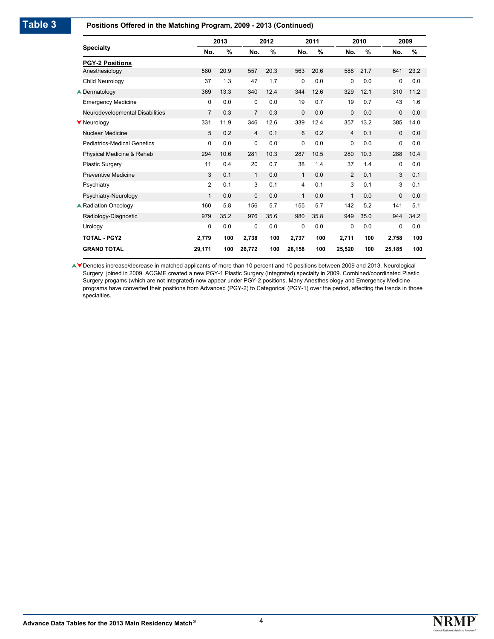#### **Positions Offered in the Matching Program, 2009 - 2013 (Continued)**

|                                    |                | 2013 |                | 2012          |                | 2011 |                | 2010 |             | 2009 |
|------------------------------------|----------------|------|----------------|---------------|----------------|------|----------------|------|-------------|------|
| <b>Specialty</b>                   | No.            | %    | No.            | $\frac{9}{6}$ | No.            | %    | No.            | %    | No.         | %    |
| <b>PGY-2 Positions</b>             |                |      |                |               |                |      |                |      |             |      |
| Anesthesiology                     | 580            | 20.9 | 557            | 20.3          | 563            | 20.6 | 588            | 21.7 | 641         | 23.2 |
| Child Neurology                    | 37             | 1.3  | 47             | 1.7           | $\mathbf 0$    | 0.0  | 0              | 0.0  | 0           | 0.0  |
| <b>▲ Dermatology</b>               | 369            | 13.3 | 340            | 12.4          | 344            | 12.6 | 329            | 12.1 | 310         | 11.2 |
| <b>Emergency Medicine</b>          | 0              | 0.0  | 0              | 0.0           | 19             | 0.7  | 19             | 0.7  | 43          | 1.6  |
| Neurodevelopmental Disabilities    | $\overline{7}$ | 0.3  | $\overline{7}$ | 0.3           | $\mathbf 0$    | 0.0  | $\mathbf 0$    | 0.0  | $\Omega$    | 0.0  |
| <b>V</b> Neurology                 | 331            | 11.9 | 346            | 12.6          | 339            | 12.4 | 357            | 13.2 | 385         | 14.0 |
| Nuclear Medicine                   | 5              | 0.2  | $\overline{4}$ | 0.1           | 6              | 0.2  | $\overline{4}$ | 0.1  | $\mathbf 0$ | 0.0  |
| <b>Pediatrics-Medical Genetics</b> | 0              | 0.0  | 0              | 0.0           | $\mathbf 0$    | 0.0  | $\Omega$       | 0.0  | 0           | 0.0  |
| Physical Medicine & Rehab          | 294            | 10.6 | 281            | 10.3          | 287            | 10.5 | 280            | 10.3 | 288         | 10.4 |
| <b>Plastic Surgery</b>             | 11             | 0.4  | 20             | 0.7           | 38             | 1.4  | 37             | 1.4  | 0           | 0.0  |
| <b>Preventive Medicine</b>         | 3              | 0.1  | $\mathbf{1}$   | 0.0           | $\mathbf{1}$   | 0.0  | 2              | 0.1  | 3           | 0.1  |
| Psychiatry                         | $\overline{2}$ | 0.1  | 3              | 0.1           | $\overline{4}$ | 0.1  | 3              | 0.1  | 3           | 0.1  |
| Psychiatry-Neurology               | $\mathbf{1}$   | 0.0  | $\mathbf{0}$   | 0.0           | $\mathbf{1}$   | 0.0  | $\mathbf{1}$   | 0.0  | $\Omega$    | 0.0  |
| <b>A Radiation Oncology</b>        | 160            | 5.8  | 156            | 5.7           | 155            | 5.7  | 142            | 5.2  | 141         | 5.1  |
| Radiology-Diagnostic               | 979            | 35.2 | 976            | 35.6          | 980            | 35.8 | 949            | 35.0 | 944         | 34.2 |
| Urology                            | 0              | 0.0  | 0              | 0.0           | $\mathbf 0$    | 0.0  | $\Omega$       | 0.0  | 0           | 0.0  |
| <b>TOTAL - PGY2</b>                | 2,779          | 100  | 2,738          | 100           | 2,737          | 100  | 2.711          | 100  | 2,758       | 100  |
| <b>GRAND TOTAL</b>                 | 29,171         | 100  | 26,772         | 100           | 26,158         | 100  | 25,520         | 100  | 25,185      | 100  |

▲ Denotes increase/decrease in matched applicants of more than 10 percent and 10 positions between 2009 and 2013. Neurological Surgery joined in 2009. ACGME created a new PGY-1 Plastic Surgery (Integrated) specialty in 2009. Combined/coordinated Plastic Surgery progams (which are not integrated) now appear under PGY-2 positions. Many Anesthesiology and Emergency Medicine programs have converted their positions from Advanced (PGY-2) to Categorical (PGY-1) over the period, affecting the trends in those specialties.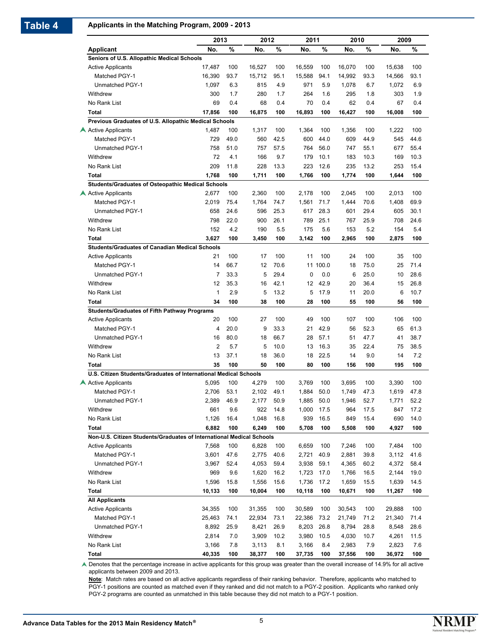## **Table 4 Applicants in the Matching Program, 2009 - 2013**

|                                                                                       |                         | 2013         | 2012         |              | 2011           |              | 2010           |              | 2009           |              |
|---------------------------------------------------------------------------------------|-------------------------|--------------|--------------|--------------|----------------|--------------|----------------|--------------|----------------|--------------|
| Applicant                                                                             | No.                     | %            | No.          | %            | No.            | %            | No.            | %            | No.            | %            |
| Seniors of U.S. Allopathic Medical Schools                                            |                         |              |              |              |                |              |                |              |                |              |
| <b>Active Applicants</b>                                                              | 17,487                  | 100          | 16,527       | 100          | 16,559         | 100          | 16,070         | 100          | 15,638         | 100          |
| Matched PGY-1                                                                         | 16,390                  | 93.7         | 15,712       | 95.1         | 15.588         | 94.1         | 14.992         | 93.3         | 14,566         | 93.1         |
| Unmatched PGY-1                                                                       | 1,097                   | 6.3          | 815          | 4.9          | 971            | 5.9          | 1,078          | 6.7          | 1,072          | 6.9          |
| Withdrew                                                                              | 300                     | 1.7          | 280          | 1.7          | 264            | 1.6          | 295            | 1.8          | 303            | 1.9          |
| No Rank List                                                                          | 69                      | 0.4          | 68           | 0.4          | 70             | 0.4          | 62             | 0.4          | 67             | 0.4          |
| <b>Total</b>                                                                          | 17,856                  | 100          | 16,875       | 100          | 16,893         | 100          | 16,427         | 100          | 16,008         | 100          |
| Previous Graduates of U.S. Allopathic Medical Schools                                 |                         |              |              |              |                |              |                |              |                |              |
| Active Applicants                                                                     | 1,487                   | 100          | 1,317        | 100          | 1,364          | 100          | 1,356          | 100          | 1,222          | 100          |
| Matched PGY-1                                                                         | 729                     | 49.0         | 560          | 42.5         | 600            | 44.0         | 609            | 44.9         | 545            | 44.6         |
| Unmatched PGY-1                                                                       | 758                     | 51.0         | 757          | 57.5         | 764            | 56.0         | 747            | 55.1         | 677            | 55.4         |
| Withdrew                                                                              | 72                      | 4.1          | 166          | 9.7          | 179            | 10.1         | 183            | 10.3         | 169            | 10.3         |
| No Rank List                                                                          | 209                     | 11.8         | 228          | 13.3         | 223            | 12.6         | 235            | 13.2         | 253            | 15.4         |
| <b>Total</b>                                                                          | 1,768                   | 100          | 1,711        | 100          | 1,766          | 100          | 1,774          | 100          | 1,644          | 100          |
| <b>Students/Graduates of Osteopathic Medical Schools</b>                              |                         |              |              |              |                |              |                |              |                |              |
| Active Applicants                                                                     | 2.677                   | 100          | 2,360        | 100          | 2,178          | 100          | 2,045          | 100          | 2,013          | 100          |
| Matched PGY-1                                                                         | 2,019                   | 75.4         | 1,764        | 74.7         | 1,561          | 71.7         | 1,444          | 70.6         | 1,408          | 69.9         |
| Unmatched PGY-1                                                                       | 658                     | 24.6         | 596          | 25.3         | 617            | 28.3         | 601            | 29.4         | 605            | 30.1         |
| Withdrew                                                                              | 798                     | 22.0         | 900          | 26.1         | 789            | 25.1         | 767            | 25.9         | 708            | 24.6         |
| No Rank List                                                                          | 152                     | 4.2          | 190          | 5.5          | 175            | 5.6          | 153            | 5.2          | 154            | 5.4          |
| <b>Total</b>                                                                          | 3,627                   | 100          | 3,450        | 100          | 3,142          | 100          | 2,965          | 100          | 2,875          | 100          |
| <b>Students/Graduates of Canadian Medical Schools</b>                                 |                         |              |              |              |                |              |                |              |                |              |
| <b>Active Applicants</b>                                                              | 21                      | 100          | 17           | 100          | 11             | 100          | 24             | 100          | 35             | 100          |
| Matched PGY-1                                                                         | 14                      | 66.7         | 12           | 70.6         |                | 11 100.0     | 18             | 75.0         | 25             | 71.4         |
| Unmatched PGY-1                                                                       | 7                       | 33.3         | 5            | 29.4         | 0              | 0.0          | 6              | 25.0         | 10             | 28.6         |
| Withdrew                                                                              | 12                      | 35.3         | 16           | 42.1         | 12             | 42.9         | 20             | 36.4         | 15             | 26.8         |
| No Rank List                                                                          | $\mathbf{1}$            | 2.9          | 5            | 13.2         | 5              | 17.9         | 11             | 20.0         | 6              | 10.7         |
| <b>Total</b>                                                                          | 34                      | 100          | 38           | 100          | 28             | 100          | 55             | 100          | 56             | 100          |
| <b>Students/Graduates of Fifth Pathway Programs</b>                                   |                         |              |              |              |                |              |                |              |                |              |
| <b>Active Applicants</b>                                                              | 20                      | 100          | 27           | 100          | 49             | 100          | 107            | 100          | 106            | 100          |
| <b>Matched PGY-1</b>                                                                  | $\overline{\mathbf{4}}$ | 20.0         | 9            | 33.3         | 21             | 42.9         | 56             | 52.3         | 65             | 61.3         |
| Unmatched PGY-1                                                                       | 16                      | 80.0         | 18           | 66.7         | 28             | 57.1         | 51             | 47.7         | 41             | 38.7         |
| Withdrew                                                                              | $\overline{2}$          | 5.7          | 5            | 10.0         | 13             | 16.3         | 35             | 22.4         | 75             | 38.5         |
| No Rank List                                                                          | 13                      | 37.1         | 18           | 36.0         | 18             | 22.5         | 14             | 9.0          | 14             | 7.2          |
| Total                                                                                 | 35                      | 100          | 50           | 100          | 80             | 100          | 156            | 100          | 195            | 100          |
| U.S. Citizen Students/Graduates of International Medical Schools<br>Active Applicants | 5,095                   | 100          | 4,279        | 100          | 3,769          | 100          | 3,695          | 100          | 3,390          | 100          |
| Matched PGY-1                                                                         |                         |              |              |              |                | 50.0         |                |              |                |              |
| Unmatched PGY-1                                                                       | 2,706<br>2,389          | 53.1<br>46.9 | 2,102        | 49.1<br>50.9 | 1,884<br>1,885 |              | 1,749<br>1,946 | 47.3<br>52.7 | 1,619<br>1,771 | 47.8<br>52.2 |
| Withdrew                                                                              | 661                     | 9.6          | 2,177<br>922 | 14.8         | 1,000          | 50.0<br>17.5 | 964            | 17.5         | 847            | 17.2         |
|                                                                                       |                         | 16.4         | 1,048        | 16.8         |                | 16.5         |                | 15.4         | 690            | 14.0         |
| No Rank List<br><b>Total</b>                                                          | 1,126<br>6,882          | 100          | 6,249        | 100          | 939<br>5,708   | 100          | 849<br>5,508   | 100          | 4,927          | 100          |
| Non-U.S. Citizen Students/Graduates of International Medical Schools                  |                         |              |              |              |                |              |                |              |                |              |
| <b>Active Applicants</b>                                                              | 7,568                   | 100          | 6,828        | 100          | 6,659          | 100          | 7,246          | 100          | 7,484          | 100          |
| Matched PGY-1                                                                         | 3,601                   | 47.6         | 2,775        | 40.6         | 2,721          | 40.9         | 2,881          | 39.8         | 3,112          | 41.6         |
| Unmatched PGY-1                                                                       | 3,967                   | 52.4         | 4,053        | 59.4         | 3,938          | 59.1         | 4,365          | 60.2         | 4,372          | 58.4         |
| Withdrew                                                                              | 969                     | 9.6          | 1,620        | 16.2         | 1,723          | 17.0         | 1,766          | 16.5         | 2,144          | 19.0         |
| No Rank List                                                                          | 1,596                   | 15.8         | 1,556        | 15.6         | 1,736          | 17.2         | 1,659          | 15.5         | 1,639          | 14.5         |
| Total                                                                                 | 10,133                  | 100          | 10,004       | 100          | 10,118         | 100          | 10,671         | 100          | 11,267         | 100          |
| <b>All Applicants</b>                                                                 |                         |              |              |              |                |              |                |              |                |              |
| <b>Active Applicants</b>                                                              | 34,355                  | 100          | 31,355       | 100          | 30,589         | 100          | 30,543         | 100          | 29,888         | 100          |
| Matched PGY-1                                                                         | 25,463                  | 74.1         | 22,934       | 73.1         | 22,386         | 73.2         | 21,749         | 71.2         | 21,340         | 71.4         |
| Unmatched PGY-1                                                                       | 8,892                   | 25.9         | 8,421        | 26.9         | 8,203          | 26.8         | 8,794          | 28.8         | 8,548          | 28.6         |
| Withdrew                                                                              | 2,814                   | 7.0          | 3,909        | 10.2         | 3,980          | 10.5         | 4,030          | 10.7         | 4,261          | 11.5         |
| No Rank List                                                                          | 3,166                   | 7.8          | 3,113        | 8.1          | 3,166          | 8.4          | 2,983          | 7.9          | 2,823          | 7.6          |
| Total                                                                                 | 40,335                  | 100          | 38,377       | 100          | 37,735         | 100          | 37,556         | 100          | 36,972         | 100          |

▲ Denotes that the percentage increase in active applicants for this group was greater than the overall increase of 14.9% for all active applicants between 2009 and 2013.

**Note**: Match rates are based on all active applicants regardless of their ranking behavior. Therefore, applicants who matched to PGY-1 positions are counted as matched even if they ranked and did not match to a PGY-2 position. Applicants who ranked only PGY-2 programs are counted as unmatched in this table because they did not match to a PGY-1 position.

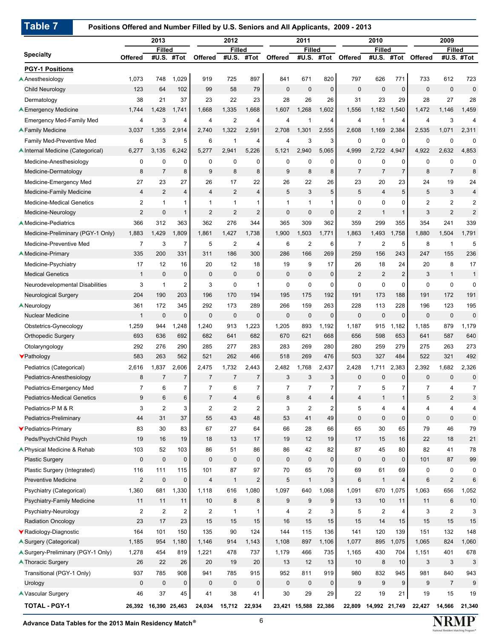## **Positions Offered and Number Filled by U.S. Seniors and All Applicants, 2009 - 2013**

|                                                                |                       | 2013                   |                               |                               | 2012                    |                         |                     | 2011                        |                     |                               | 2010                   |                      |                         | 2009                                   |                                           |
|----------------------------------------------------------------|-----------------------|------------------------|-------------------------------|-------------------------------|-------------------------|-------------------------|---------------------|-----------------------------|---------------------|-------------------------------|------------------------|----------------------|-------------------------|----------------------------------------|-------------------------------------------|
| <b>Specialty</b>                                               | Offered               | <b>Filled</b><br>#U.S. | #Tot                          | <b>Offered</b>                | <b>Filled</b><br>#U.S.  | #Tot                    | <b>Offered</b>      | <b>Filled</b><br>#U.S.      | #Tot                | Offered                       | <b>Filled</b><br>#U.S. | #Tot                 | <b>Offered</b>          | <b>Filled</b>                          | #U.S. #Tot                                |
|                                                                |                       |                        |                               |                               |                         |                         |                     |                             |                     |                               |                        |                      |                         |                                        |                                           |
| <b>PGY-1 Positions</b>                                         |                       | 748                    |                               | 919                           | 725                     | 897                     | 841                 | 671                         |                     |                               |                        |                      |                         |                                        |                                           |
| Anesthesiology<br><b>Child Neurology</b>                       | 1,073<br>123          | 64                     | 1,029<br>102                  | 99                            | 58                      | 79                      | $\mathbf 0$         | $\mathbf 0$                 | 820<br>$\mathbf{0}$ | 797<br>$\mathbf 0$            | 626<br>$\mathbf 0$     | 771<br>$\mathbf 0$   | 733<br>$\mathbf 0$      | 612<br>$\pmb{0}$                       | 723<br>$\mathbf 0$                        |
|                                                                |                       |                        |                               |                               |                         |                         |                     |                             |                     |                               |                        |                      |                         |                                        |                                           |
| Dermatology                                                    | 38<br>1,744           | 21<br>1,428            | 37<br>1,741                   | 23<br>1,668                   | 22<br>1,335             | 23<br>1,668             | 28<br>1,607         | 26<br>1,268                 | 26<br>1,602         | 31<br>1,556                   | 23<br>1,182            | 29<br>1,540          | 28<br>1,472             | 27<br>1,146                            | 28<br>1,459                               |
| <b>A Emergency Medicine</b>                                    |                       |                        |                               |                               |                         |                         |                     |                             |                     |                               |                        |                      |                         |                                        |                                           |
| <b>Emergency Med-Family Med</b><br><b>A Family Medicine</b>    | 4<br>3,037            | 3<br>1.355             | 4<br>2,914                    | $\overline{4}$<br>2,740       | $\overline{2}$<br>1,322 | 4<br>2,591              | 4<br>2.708          | 1<br>1.301                  | 4<br>2,555          | $\overline{4}$<br>2,608       | 1<br>1,169             | 4<br>2,384           | $\overline{4}$<br>2,535 | 3<br>1,071                             | 4<br>2,311                                |
|                                                                |                       |                        |                               |                               |                         |                         |                     |                             |                     |                               |                        |                      |                         |                                        |                                           |
| Family Med-Preventive Med<br>▲ Internal Medicine (Categorical) | 6<br>6,277            | 3<br>3,135             | 5<br>6,242                    | 6<br>5,277                    | 1<br>2,941              | 4<br>5,226              | 4<br>5,121          | 3<br>2,940                  | 3<br>5,065          | 0<br>4,999                    | $\mathbf 0$<br>2,722   | 0<br>4,947           | $\mathbf 0$<br>4,922    | $\mathbf 0$<br>2,632                   | 0<br>4,853                                |
|                                                                | 0                     |                        |                               |                               |                         |                         |                     |                             |                     | $\mathbf 0$                   | 0                      |                      | $\mathbf 0$             |                                        |                                           |
| Medicine-Anesthesiology<br>Medicine-Dermatology                | 8                     | 0<br>$\overline{7}$    | 0<br>8                        | 0<br>9                        | 0<br>8                  | 0<br>8                  | 0<br>9              | 0<br>8                      | 0<br>8              | $\overline{7}$                | $\overline{7}$         | 0<br>$\overline{7}$  | 8                       | 0<br>$\overline{7}$                    | 0<br>8                                    |
|                                                                |                       |                        |                               |                               |                         |                         |                     |                             |                     |                               |                        |                      |                         |                                        |                                           |
| Medicine-Emergency Med<br><b>Medicine-Family Medicine</b>      | 27<br>4               | 23<br>2                | 27<br>4                       | 26<br>$\overline{4}$          | 17<br>2                 | 22<br>$\overline{4}$    | 26<br>5             | 22<br>3                     | 26<br>5             | 23<br>5                       | 20<br>$\overline{4}$   | 23<br>5              | 24<br>5                 | 19<br>3                                | 24<br>4                                   |
|                                                                | $\overline{2}$        |                        |                               |                               |                         |                         |                     |                             |                     |                               |                        |                      | $\overline{2}$          |                                        |                                           |
| <b>Medicine-Medical Genetics</b><br>Medicine-Neurology         | $\overline{2}$        | 1<br>$\mathbf 0$       | 1<br>1                        | $\mathbf{1}$<br>2             | $\mathbf{1}$<br>2       | 1<br>2                  | 1<br>$\mathbf 0$    | $\mathbf{1}$<br>$\mathbf 0$ | $\mathbf{1}$<br>0   | $\mathbf 0$<br>$\overline{2}$ | 0<br>$\mathbf{1}$      | 0<br>$\mathbf{1}$    | 3                       | $\overline{2}$<br>$\overline{2}$       | $\overline{\mathbf{c}}$<br>$\overline{2}$ |
|                                                                |                       |                        |                               | 362                           |                         |                         | 365                 |                             |                     |                               |                        |                      |                         |                                        |                                           |
| <b>A</b> Medicine-Pediatrics                                   | 366<br>1,883          | 312<br>1,429           | 363<br>1,809                  | 1,861                         | 276<br>1,427            | 344<br>1,738            | 1,900               | 309<br>1,503                | 362<br>1,771        | 359<br>1,863                  | 299<br>1,493           | 355<br>1,758         | 354<br>1,880            | 241<br>1,504                           | 339<br>1,791                              |
| Medicine-Preliminary (PGY-1 Only)                              |                       |                        |                               |                               |                         |                         |                     |                             |                     |                               |                        |                      |                         |                                        |                                           |
| Medicine-Preventive Med                                        | $\overline{7}$<br>335 | 3<br>200               | 7<br>331                      | 5<br>311                      | $\overline{2}$<br>186   | 4<br>300                | 6<br>286            | $\overline{2}$<br>166       | 6<br>269            | $\overline{7}$<br>259         | $\overline{2}$<br>156  | 5<br>243             | 8<br>247                | $\mathbf{1}$<br>155                    | 5<br>236                                  |
| Medicine-Primary                                               |                       |                        |                               |                               |                         |                         |                     |                             |                     |                               |                        |                      |                         |                                        |                                           |
| Medicine-Psychiatry<br><b>Medical Genetics</b>                 | 17<br>$\mathbf{1}$    | 12<br>$\mathbf{0}$     | 16<br>0                       | 20<br>$\mathbf 0$             | 12<br>$\mathbf 0$       | 18<br>0                 | 19<br>$\mathbf 0$   | 9<br>$\mathbf 0$            | 17<br>$\mathbf 0$   | 26<br>$\overline{2}$          | 18<br>$\overline{2}$   | 24<br>$\overline{2}$ | 20<br>3                 | 8<br>$\mathbf{1}$                      | 17<br>$\mathbf{1}$                        |
|                                                                |                       |                        |                               |                               |                         |                         |                     |                             |                     |                               |                        |                      |                         |                                        |                                           |
| Neurodevelopmental Disabilities                                | 3<br>204              | $\mathbf{1}$<br>190    | 2<br>203                      | 3<br>196                      | 0<br>170                | 1<br>194                | 0<br>195            | 0<br>175                    | 0<br>192            | $\mathbf 0$<br>191            | $\mathbf 0$<br>173     | 0<br>188             | 0<br>191                | 0<br>172                               | 0<br>191                                  |
| <b>Neurological Surgery</b>                                    |                       |                        |                               |                               |                         |                         |                     |                             |                     |                               |                        |                      |                         |                                        |                                           |
| <b>A</b> Neurology<br><b>Nuclear Medicine</b>                  | 361<br>$\mathbf{1}$   | 172<br>$\mathbf{0}$    | 345<br>$\Omega$               | 292<br>$\mathbf{0}$           | 173<br>$\mathbf 0$      | 289<br>$\mathbf 0$      | 266<br>$\mathbf{0}$ | 159<br>$\mathbf 0$          | 263<br>$\mathbf 0$  | 228<br>$\mathbf{0}$           | 113<br>$\mathbf 0$     | 228<br>$\mathbf 0$   | 196<br>$\mathbf 0$      | 123<br>$\pmb{0}$                       | 195<br>$\mathbf 0$                        |
|                                                                |                       |                        |                               |                               |                         |                         |                     |                             |                     |                               |                        |                      |                         |                                        |                                           |
| Obstetrics-Gynecology                                          | 1,259<br>693          | 944<br>636             | 1,248<br>692                  | 1,240<br>682                  | 913<br>641              | 1,223<br>682            | 1,205<br>670        | 893<br>621                  | 1,192<br>668        | 1,187<br>656                  | 915<br>598             | 1,182<br>653         | 1,185<br>641            | 879<br>587                             | 1,179<br>640                              |
| <b>Orthopedic Surgery</b>                                      |                       |                        |                               |                               |                         |                         |                     |                             |                     |                               |                        |                      |                         |                                        |                                           |
| Otolaryngology                                                 | 292<br>583            | 276<br>263             | 290<br>562                    | 285<br>521                    | 277<br>262              | 283<br>466              | 283<br>518          | 269<br>269                  | 280<br>476          | 280<br>503                    | 259<br>327             | 279<br>484           | 275<br>522              | 263<br>321                             | 273<br>492                                |
| YPathology                                                     |                       |                        |                               |                               |                         |                         |                     |                             |                     |                               |                        |                      |                         |                                        |                                           |
| Pediatrics (Categorical)                                       | 2,616<br>8            | 1,837<br>7             | 2,606<br>$\overline{7}$       | 2,475<br>$\overline{7}$       | 1,732<br>$\overline{7}$ | 2,443<br>$\overline{7}$ | 2.482<br>3          | 1,768<br>3                  | 2,437<br>3          | 2,428<br>$\mathbf{0}$         | 1,711<br>$\mathbf 0$   | 2,383<br>0           | 2,392<br>$\mathbf 0$    | 1,682<br>$\pmb{0}$                     | 2,326<br>$\mathbf 0$                      |
| Pediatrics-Anesthesiology                                      | $\overline{7}$        | 6                      | $\overline{7}$                | $\overline{7}$                | 6                       | $\overline{7}$          |                     | $\overline{7}$              | $\overline{7}$      | $\overline{7}$                | 5                      |                      |                         |                                        | $\overline{7}$                            |
| Pediatrics-Emergency Med<br><b>Pediatrics-Medical Genetics</b> | 9                     | $6\,$                  | 6                             | $\overline{7}$                | $\overline{4}$          | 6                       | $\overline{7}$<br>8 | $\overline{4}$              | 4                   | $\overline{4}$                | $\mathbf{1}$           | 7<br>$\mathbf{1}$    | $\overline{7}$<br>5     | $\overline{4}$<br>$\sqrt{2}$           | 3                                         |
|                                                                |                       |                        |                               |                               |                         |                         |                     |                             |                     |                               |                        |                      |                         |                                        |                                           |
| Pediatrics-P M & R<br>Pediatrics-Preliminary                   | 3<br>44               | $\overline{2}$<br>31   | 3<br>37                       | $\overline{2}$<br>55          | $\overline{2}$<br>43    | $\overline{2}$<br>48    | 3<br>53             | $\mathbf{2}$<br>41          | 2<br>49             | 5<br>$\mathbf 0$              | 4<br>$\mathbf{0}$      | 4<br>$\mathbf 0$     | 4<br>$\mathbf 0$        | $\overline{\mathbf{4}}$<br>$\mathbf 0$ | 4<br>$\pmb{0}$                            |
|                                                                | 83                    | 30                     | 83                            | 67                            | 27                      | 64                      | 66                  | 28                          | 66                  | 65                            | 30                     |                      | 79                      | 46                                     | 79                                        |
| ▼ Pediatrics-Primary<br>Peds/Psych/Child Psych                 | 19                    | 16                     | 19                            | 18                            | 13                      | 17                      | 19                  | 12                          | 19                  | 17                            | 15                     | 65<br>16             | 22                      | 18                                     | 21                                        |
| ▲ Physical Medicine & Rehab                                    |                       |                        |                               | 86                            | 51                      |                         | 86                  | 42                          |                     | 87                            |                        |                      | 82                      | 41                                     |                                           |
| <b>Plastic Surgery</b>                                         | 103<br>$\mathbf 0$    | 52<br>$\pmb{0}$        | 103<br>0                      | $\mathbf{0}$                  | $\mathbf 0$             | 86<br>$\pmb{0}$         | $\mathbf 0$         | $\mathbf{0}$                | 82<br>$\mathbf 0$   | $\mathbf 0$                   | 45<br>$\mathbf{0}$     | 80<br>$\pmb{0}$      | 101                     | 87                                     | 78<br>99                                  |
| Plastic Surgery (Integrated)                                   | 116                   | 111                    | 115                           | 101                           | 87                      | 97                      | 70                  | 65                          | 70                  | 69                            | 61                     | 69                   | $\mathbf 0$             | 0                                      | 0                                         |
| <b>Preventive Medicine</b>                                     | 2                     | $\mathbf 0$            | 0                             | $\overline{4}$                | $\mathbf{1}$            | $\overline{2}$          | 5                   | $\mathbf{1}$                | 3                   | 6                             | $\mathbf{1}$           | 4                    | $6\phantom{1}$          | $\sqrt{2}$                             | $6\phantom{1}$                            |
| Psychiatry (Categorical)                                       |                       | 681                    |                               | 1,118                         | 616                     | 1,080                   | 1,097               | 640                         | 1,068               | 1,091                         | 670                    | 1,075                |                         | 656                                    |                                           |
| Psychiatry-Family Medicine                                     | 1,360<br>11           | 11                     | 1,330<br>11                   | 10                            | 8                       | 8                       | 9                   | 9                           | 9                   | 13                            | 10                     | 11                   | 1,063<br>11             | $\,6$                                  | 1,052<br>10                               |
|                                                                |                       |                        |                               |                               |                         |                         |                     |                             |                     |                               |                        |                      |                         |                                        |                                           |
| Psychiatry-Neurology<br><b>Radiation Oncology</b>              | $\overline{2}$<br>23  | $\overline{2}$<br>17   | $\overline{\mathbf{c}}$<br>23 | $\overline{\mathbf{c}}$<br>15 | $\mathbf{1}$<br>15      | $\mathbf{1}$<br>15      | 4<br>16             | $\overline{2}$<br>15        | 3<br>15             | 5<br>15                       | $\boldsymbol{2}$<br>14 | 4<br>15              | 3<br>15                 | $\boldsymbol{2}$<br>15                 | 3<br>15                                   |
|                                                                |                       |                        |                               |                               |                         |                         |                     |                             |                     |                               |                        |                      |                         |                                        |                                           |
| ▼Radiology-Diagnostic                                          | 164                   | 101                    | 150                           | 135                           | 90                      | 124                     | 144                 | 115                         | 136                 | 141                           | 120                    | 139                  | 151                     | 132                                    | 148                                       |
| Surgery (Categorical)                                          | 1,185                 | 954                    | 1,180                         | 1,146                         | 914                     | 1,143                   | 1,108               | 897                         | 1,106               | 1,077                         | 895                    | 1,075                | 1,065                   | 824                                    | 1,060                                     |
| ▲ Surgery-Preliminary (PGY-1 Only)                             | 1,278                 | 454                    | 819                           | 1,221                         | 478                     | 737                     | 1,179               | 466                         | 735                 | 1,165                         | 430                    | 704                  | 1,151                   | 401                                    | 678                                       |
| <b>A Thoracic Surgery</b>                                      | 26                    | 22                     | 26                            | 20                            | 19                      | 20                      | 13                  | 12                          | 13                  | 10                            | 8                      | 10                   | 3                       | 3                                      | 3                                         |
| Transitional (PGY-1 Only)                                      | 937                   | 785                    | 908                           | 941                           | 785                     | 915                     | 952                 | 811                         | 919                 | 980                           | 832                    | 945                  | 981                     | 840                                    | 943                                       |
| Urology                                                        | $\mathbf 0$           | $\mathbf 0$            | 0                             | $\mathbf 0$                   | $\mathsf 0$             | $\mathbf 0$             | $\mathbf 0$         | $\mathbf 0$                 | $\mathbf 0$         | 9                             | 9                      | $9\,$                | 9                       | $\overline{7}$                         | 9                                         |
| ▲ Vascular Surgery                                             | 46                    | 37                     | 45                            | 41                            | 38                      | 41                      | 30                  | 29                          | 29                  | 22                            | 19                     | 21                   | 19                      | 15                                     | 19                                        |
| <b>TOTAL - PGY-1</b>                                           |                       | 26,392 16,390 25,463   |                               | 24,034                        | 15,712                  | 22,934                  |                     | 23,421 15,588 22,386        |                     | 22,809                        | 14,992 21,749          |                      | 22,427                  | 14,566                                 | 21,340                                    |

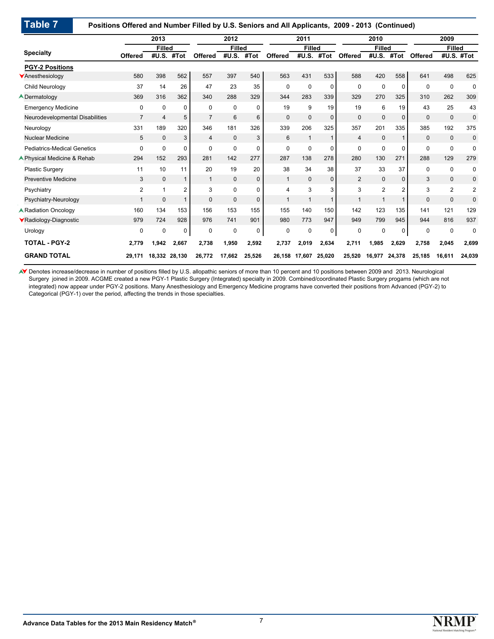#### **Positions Offered and Number Filled by U.S. Seniors and All Applicants, 2009 - 2013 (Continued)**

|                                    |                | 2013           |          |                | 2012          |             |                | 2011          |              |                | 2010           |              |                | 2009          |             |
|------------------------------------|----------------|----------------|----------|----------------|---------------|-------------|----------------|---------------|--------------|----------------|----------------|--------------|----------------|---------------|-------------|
|                                    |                | <b>Filled</b>  |          |                | <b>Filled</b> |             |                | <b>Filled</b> |              |                | <b>Filled</b>  |              |                | <b>Filled</b> |             |
| <b>Specialty</b>                   | <b>Offered</b> | #U.S.          | #Tot     | <b>Offered</b> | #U.S.         | #Tot        | <b>Offered</b> | #U.S.         | #Tot         | Offered        | #U.S.          | #Tot         | <b>Offered</b> |               | #U.S. #Tot  |
| <b>PGY-2 Positions</b>             |                |                |          |                |               |             |                |               |              |                |                |              |                |               |             |
| Anesthesiology                     | 580            | 398            | 562      | 557            | 397           | 540         | 563            | 431           | 533          | 588            | 420            | 558          | 641            | 498           | 625         |
| Child Neurology                    | 37             | 14             | 26       | 47             | 23            | 35          | $\Omega$       | 0             | $\Omega$     | $\Omega$       | 0              | $\Omega$     | $\Omega$       | $\mathbf 0$   | $\mathbf 0$ |
| <b>A</b> Dermatology               | 369            | 316            | 362      | 340            | 288           | 329         | 344            | 283           | 339          | 329            | 270            | 325          | 310            | 262           | 309         |
| <b>Emergency Medicine</b>          | 0              | $\Omega$       | 0        | 0              | 0             | $\Omega$    | 19             | 9             | 19           | 19             | 6              | 19           | 43             | 25            | 43          |
| Neurodevelopmental Disabilities    | $\overline{7}$ | $\overline{4}$ | 5        | $\overline{7}$ | 6             | 6           | $\mathbf 0$    | 0             | $\mathbf{0}$ | $\Omega$       | $\mathbf{0}$   | $\mathbf{0}$ | $\mathbf 0$    | $\mathbf{0}$  | 0           |
| Neurology                          | 331            | 189            | 320      | 346            | 181           | 326         | 339            | 206           | 325          | 357            | 201            | 335          | 385            | 192           | 375         |
| <b>Nuclear Medicine</b>            | 5              | $\Omega$       | 3        | 4              | $\mathbf{0}$  | 3           | 6              | $\mathbf 1$   |              | 4              | $\mathbf 0$    | $\mathbf{1}$ | $\Omega$       | $\mathbf 0$   | 0           |
| <b>Pediatrics-Medical Genetics</b> | 0              | $\Omega$       | $\Omega$ | $\Omega$       | 0             | $\Omega$    | $\Omega$       | 0             | $\Omega$     | $\Omega$       | 0              | $\Omega$     | $\mathbf 0$    | 0             | 0           |
| ▲ Physical Medicine & Rehab        | 294            | 152            | 293      | 281            | 142           | 277         | 287            | 138           | 278          | 280            | 130            | 271          | 288            | 129           | 279         |
| <b>Plastic Surgery</b>             | 11             | 10             | 11       | 20             | 19            | 20          | 38             | 34            | 38           | 37             | 33             | 37           | $\mathbf 0$    | $\pmb{0}$     | 0           |
| <b>Preventive Medicine</b>         | 3              | $\mathbf{0}$   | 1        | $\mathbf{1}$   | $\mathbf{0}$  | $\mathbf 0$ | $\mathbf{1}$   | $\mathbf 0$   | $\mathbf{0}$ | $\overline{2}$ | $\mathbf{0}$   | $\mathbf{0}$ | 3              | $\mathbf{0}$  | 0           |
| Psychiatry                         | 2              | 1              | 2        | 3              | $\Omega$      | $\Omega$    | 4              | 3             | 3            | 3              | $\overline{2}$ | 2            | 3              | 2             | 2           |
| Psychiatry-Neurology               |                | $\Omega$       | 1        | $\Omega$       | $\mathbf{0}$  | $\Omega$    | 1              | 1             |              | $\mathbf{1}$   | 1              | 1            | $\Omega$       | $\mathbf 0$   | 0           |
| <b>A Radiation Oncology</b>        | 160            | 134            | 153      | 156            | 153           | 155         | 155            | 140           | 150          | 142            | 123            | 135          | 141            | 121           | 129         |
| ▼Radiology-Diagnostic              | 979            | 724            | 928      | 976            | 741           | 901         | 980            | 773           | 947          | 949            | 799            | 945          | 944            | 816           | 937         |
| Urology                            | $\Omega$       | $\mathbf 0$    | 0        | 0              | $\mathbf 0$   | $\mathbf 0$ | $\Omega$       | 0             | 0            | $\Omega$       | 0              | 0            | $\Omega$       | $\mathbf 0$   | 0           |
| <b>TOTAL - PGY-2</b>               | 2,779          | 1.942          | 2,667    | 2,738          | 1,950         | 2,592       | 2,737          | 2,019         | 2.634        | 2,711          | 1.985          | 2.629        | 2.758          | 2,045         | 2,699       |
| <b>GRAND TOTAL</b>                 | 29.171         | 18.332         | 28,130   | 26,772         | 17,662        | 25,526      | 26,158         | 17.607        | 25.020       | 25,520         | 16,977         | 24,378       | 25,185         | 16,611        | 24,039      |

Denotes increase/decrease in number of positions filled by U.S. allopathic seniors of more than 10 percent and 10 positions between 2009 and 2013. Neurological Surgery joined in 2009. ACGME created a new PGY-1 Plastic Surgery (Integrated) specialty in 2009. Combined/coordinated Plastic Surgery progams (which are not integrated) now appear under PGY-2 positions. Many Anesthesiology and Emergency Medicine programs have converted their positions from Advanced (PGY-2) to Categorical (PGY-1) over the period, affecting the trends in those specialties.

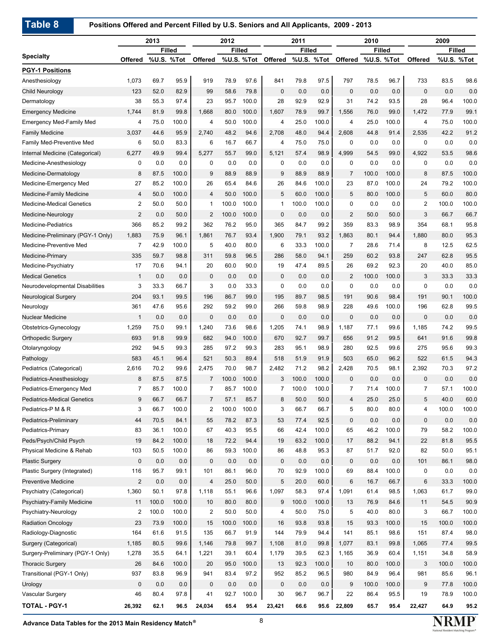**Positions Offered and Percent Filled by U.S. Seniors and All Applicants, 2009 - 2013**

|                                    |                       | 2013        |               |                | 2012        |               |                    | 2011          |              |                    | 2010         |               |                | 2009  |               |
|------------------------------------|-----------------------|-------------|---------------|----------------|-------------|---------------|--------------------|---------------|--------------|--------------------|--------------|---------------|----------------|-------|---------------|
|                                    |                       |             | <b>Filled</b> |                |             | <b>Filled</b> |                    | <b>Filled</b> |              |                    |              | <b>Filled</b> |                |       | <b>Filled</b> |
| <b>Specialty</b>                   | <b>Offered</b>        |             | %U.S. %Tot    | Offered        |             |               | %U.S. %Tot Offered |               | %U.S. %Tot   | Offered %U.S. %Tot |              |               | Offered        |       | %U.S. %Tot    |
| <b>PGY-1 Positions</b>             |                       |             |               |                |             |               |                    |               |              |                    |              |               |                |       |               |
| Anesthesiology                     | 1,073                 | 69.7        | 95.9          | 919            | 78.9        | 97.6          | 841                | 79.8          | 97.5         | 797                | 78.5         | 96.7          | 733            | 83.5  | 98.6          |
| Child Neurology                    | 123                   | 52.0        | 82.9          | 99             | 58.6        | 79.8          | $\mathbf 0$        | 0.0           | 0.0          | $\mathbf 0$        | 0.0          | 0.0           | $\mathbf 0$    | 0.0   | 0.0           |
| Dermatology                        | 38                    | 55.3        | 97.4          | 23             | 95.7        | 100.0         | 28                 | 92.9          | 92.9         | 31                 | 74.2         | 93.5          | 28             | 96.4  | 100.0         |
| <b>Emergency Medicine</b>          | 1,744                 | 81.9        | 99.8          | 1,668          | 80.0        | 100.0         | 1,607              | 78.9          | 99.7         | 1,556              | 76.0         | 99.0          | 1,472          | 77.9  | 99.1          |
| <b>Emergency Med-Family Med</b>    | 4                     | 75.0        | 100.0         | 4              | 50.0        | 100.0         | $\overline{4}$     | 25.0          | 100.0        | 4                  | 25.0         | 100.0         | 4              | 75.0  | 100.0         |
| <b>Family Medicine</b>             | 3,037                 | 44.6        | 95.9          | 2,740          | 48.2        | 94.6          | 2,708              | 48.0          | 94.4         | 2.608              | 44.8         | 91.4          | 2,535          | 42.2  | 91.2          |
| Family Med-Preventive Med          | 6                     | 50.0        | 83.3          | 6              | 16.7        | 66.7          | 4                  | 75.0          | 75.0         | 0                  | 0.0          | 0.0           | 0              | 0.0   | 0.0           |
| Internal Medicine (Categorical)    | 6,277                 | 49.9        | 99.4          | 5,277          | 55.7        | 99.0          | 5,121              | 57.4          | 98.9         | 4,999              | 54.5         | 99.0          | 4,922          | 53.5  | 98.6          |
| Medicine-Anesthesiology            | 0                     | 0.0         | 0.0           | 0              | 0.0         | 0.0           | 0                  | 0.0           | 0.0          | $\mathbf 0$        | 0.0          | 0.0           | 0              | 0.0   | 0.0           |
| Medicine-Dermatology               | 8                     | 87.5        | 100.0         | 9              | 88.9        | 88.9          | 9                  | 88.9          | 88.9         | $\overline{7}$     | 100.0        | 100.0         | 8              | 87.5  | 100.0         |
| Medicine-Emergency Med             | 27                    | 85.2        | 100.0         | 26             | 65.4        | 84.6          | 26                 | 84.6          | 100.0        | 23                 | 87.0         | 100.0         | 24             | 79.2  | 100.0         |
| <b>Medicine-Family Medicine</b>    | 4                     | 50.0        | 100.0         | 4              | 50.0        | 100.0         | 5                  | 60.0          | 100.0        | 5                  | 80.0         | 100.0         | 5              | 60.0  | 80.0          |
| <b>Medicine-Medical Genetics</b>   | $\overline{2}$        | 50.0        | 50.0          | $\mathbf{1}$   | 100.0       | 100.0         | $\mathbf 1$        | 100.0         | 100.0        | 0                  | 0.0          | 0.0           | $\mathbf{2}$   | 100.0 | 100.0         |
| Medicine-Neurology                 | 2                     | 0.0         | 50.0          | 2              | 100.0       | 100.0         | $\mathbf 0$        | 0.0           | 0.0          | $\overline{c}$     | 50.0         | 50.0          | 3              | 66.7  | 66.7          |
| <b>Medicine-Pediatrics</b>         | 366                   | 85.2        | 99.2          | 362            | 76.2        | 95.0          | 365                | 84.7          | 99.2         | 359                | 83.3         | 98.9          | 354            | 68.1  | 95.8          |
| Medicine-Preliminary (PGY-1 Only)  | 1,883                 | 75.9        | 96.1          | 1,861          | 76.7        | 93.4          | 1,900              | 79.1          | 93.2         | 1,863              | 80.1         | 94.4          | 1,880          | 80.0  | 95.3          |
| Medicine-Preventive Med            | $\overline{7}$        | 42.9        | 100.0         | 5              | 40.0        | 80.0          | 6                  | 33.3          | 100.0        | $\overline{7}$     | 28.6         | 71.4          | 8              | 12.5  | 62.5          |
| Medicine-Primary                   | 335                   | 59.7        | 98.8          | 311            | 59.8        | 96.5          | 286                | 58.0          | 94.1         | 259                | 60.2         | 93.8          | 247            | 62.8  | 95.5          |
| Medicine-Psychiatry                | 17                    | 70.6        | 94.1          | 20             | 60.0        | 90.0          | 19                 | 47.4          | 89.5         | 26                 | 69.2         | 92.3          | 20             | 40.0  | 85.0          |
| <b>Medical Genetics</b>            | $\mathbf{1}$          | 0.0         | 0.0           | $\mathbf{0}$   | 0.0         | 0.0           | 0                  | 0.0           | 0.0          | $\overline{2}$     | 100.0        | 100.0         | 3              | 33.3  | 33.3          |
| Neurodevelopmental Disabilities    | 3                     | 33.3        | 66.7          | 3              | 0.0         | 33.3          | 0                  | 0.0           | 0.0          | $\mathbf 0$        | 0.0          | 0.0           | 0              | 0.0   | 0.0           |
| <b>Neurological Surgery</b>        | 204                   | 93.1        | 99.5          | 196            | 86.7        | 99.0          | 195                | 89.7          | 98.5         | 191                | 90.6         | 98.4          | 191            | 90.1  | 100.0         |
| Neurology                          | 361                   | 47.6        | 95.6          | 292            | 59.2        | 99.0          | 266                | 59.8          | 98.9         | 228                | 49.6         | 100.0         | 196            | 62.8  | 99.5          |
| <b>Nuclear Medicine</b>            | $\mathbf{1}$          | 0.0         | 0.0           | 0              | 0.0         | 0.0           | $\mathbf 0$        | 0.0           | 0.0          | $\mathbf 0$        | 0.0          | 0.0           | 0              | 0.0   | 0.0           |
| Obstetrics-Gynecology              | 1,259                 | 75.0        | 99.1          | 1,240          | 73.6        | 98.6          | 1,205              | 74.1          | 98.9         | 1,187              | 77.1         | 99.6          | 1,185          | 74.2  | 99.5          |
| <b>Orthopedic Surgery</b>          | 693                   | 91.8        | 99.9          | 682            | 94.0        | 100.0         | 670                | 92.7          | 99.7         | 656                | 91.2         | 99.5          | 641            | 91.6  | 99.8          |
| Otolaryngology                     | 292                   | 94.5        | 99.3          | 285            | 97.2        | 99.3          | 283                | 95.1          | 98.9         | 280                | 92.5         | 99.6          | 275            | 95.6  | 99.3          |
| Pathology                          | 583                   | 45.1        | 96.4          | 521            | 50.3        | 89.4          | 518                | 51.9          | 91.9         | 503                | 65.0         | 96.2          | 522            | 61.5  | 94.3          |
| Pediatrics (Categorical)           | 2,616                 | 70.2        | 99.6          | 2,475          | 70.0        | 98.7          | 2,482              | 71.2          | 98.2         | 2,428              | 70.5         | 98.1          | 2,392          | 70.3  | 97.2          |
| Pediatrics-Anesthesiology          | 8                     | 87.5        | 87.5          | $\overline{7}$ | 100.0       | 100.0         | 3                  | 100.0         | 100.0        | $\mathbf{0}$       | 0.0          | 0.0           | 0              | 0.0   | 0.0           |
| Pediatrics-Emergency Med           | $\overline{7}$        | 85.7        | 100.0         | $\overline{7}$ | 85.7        | 100.0         | $\overline{7}$     | 100.0         | 100.0        | $\overline{7}$     | 71.4         | 100.0         | $\overline{7}$ | 57.1  | 100.0         |
| <b>Pediatrics-Medical Genetics</b> | 9                     | 66.7        | 66.7          | $\overline{7}$ | 57.1        | 85.7          | 8                  | 50.0          | 50.0         | 4                  | 25.0         | 25.0          | 5              | 40.0  | 60.0          |
| Pediatrics-P M & R                 | 3                     | 66.7        | 100.0         | 2              | 100.0       | 100.0         | 3                  | 66.7          | 66.7         | 5                  | 80.0         | 80.0          | 4              | 100.0 | 100.0         |
| Pediatrics-Preliminary             | 44                    | 70.5        | 84.1          | 55             | 78.2        | 87.3          | 53                 | 77.4          | 92.5         | $\mathbf 0$        | 0.0          | 0.0           | 0              | 0.0   | 0.0           |
| Pediatrics-Primary                 | 83                    | 36.1        | 100.0         | 67             | 40.3        | 95.5          | 66                 | 42.4          | 100.0        | 65                 | 46.2         | 100.0         | 79             | 58.2  | 100.0         |
| Peds/Psych/Child Psych             | 19                    | 84.2        | 100.0         |                | 72.2        | 94.4          | 19                 | 63.2          | 100.0        | 17                 | 88.2         | 94.1          | 22             | 81.8  | 95.5          |
| Physical Medicine & Rehab          | 103                   | 50.5        | 100.0         | 18<br>86       | 59.3        | 100.0         | 86                 | 48.8          | 95.3         | 87                 | 51.7         | 92.0          | 82             | 50.0  | 95.1          |
|                                    |                       |             |               |                |             |               |                    |               |              |                    |              |               |                |       | 98.0          |
| <b>Plastic Surgery</b>             | 0                     | 0.0<br>95.7 | 0.0<br>99.1   | 0<br>101       | 0.0<br>86.1 | 0.0<br>96.0   | $\mathbf 0$        | 0.0           | 0.0<br>100.0 | $\mathbf 0$<br>69  | 0.0          | 0.0<br>100.0  | 101            | 86.1  | 0.0           |
| Plastic Surgery (Integrated)       | 116                   |             |               |                |             |               | 70                 | 92.9          |              |                    | 88.4         |               | 0              | 0.0   |               |
| <b>Preventive Medicine</b>         | $\mathbf{2}$<br>1,360 | 0.0<br>50.1 | 0.0           | 4              | 25.0        | 50.0          | 5                  | 20.0          | 60.0<br>97.4 | 6                  | 16.7<br>61.4 | 66.7          | 6              | 33.3  | 100.0<br>99.0 |
| Psychiatry (Categorical)           |                       |             | 97.8          | 1,118          | 55.1        | 96.6          | 1,097              | 58.3          |              | 1,091              |              | 98.5          | 1,063          | 61.7  |               |
| Psychiatry-Family Medicine         | 11                    | 100.0       | 100.0         | 10             | 80.0        | 80.0          | 9                  | 100.0         | 100.0        | 13                 | 76.9         | 84.6          | 11             | 54.5  | 90.9          |
| Psychiatry-Neurology               | $\overline{2}$        | 100.0       | 100.0         | 2              | 50.0        | 50.0          | 4                  | 50.0          | 75.0         | 5                  | 40.0         | 80.0          | 3              | 66.7  | 100.0         |
| <b>Radiation Oncology</b>          | 23                    | 73.9        | 100.0         | 15             | 100.0       | 100.0         | 16                 | 93.8          | 93.8         | 15                 | 93.3         | 100.0         | 15             | 100.0 | 100.0         |
| Radiology-Diagnostic               | 164                   | 61.6        | 91.5          | 135            | 66.7        | 91.9          | 144                | 79.9          | 94.4         | 141                | 85.1         | 98.6          | 151            | 87.4  | 98.0          |
| Surgery (Categorical)              | 1,185                 | 80.5        | 99.6          | 1,146          | 79.8        | 99.7          | 1,108              | 81.0          | 99.8         | 1,077              | 83.1         | 99.8          | 1,065          | 77.4  | 99.5          |
| Surgery-Preliminary (PGY-1 Only)   | 1,278                 | 35.5        | 64.1          | 1,221          | 39.1        | 60.4          | 1,179              | 39.5          | 62.3         | 1,165              | 36.9         | 60.4          | 1,151          | 34.8  | 58.9          |
| <b>Thoracic Surgery</b>            | 26                    | 84.6        | 100.0         | 20             | 95.0        | 100.0         | 13                 | 92.3          | 100.0        | 10                 | 80.0         | 100.0         | 3              | 100.0 | 100.0         |
| Transitional (PGY-1 Only)          | 937                   | 83.8        | 96.9          | 941            | 83.4        | 97.2          | 952                | 85.2          | 96.5         | 980                | 84.9         | 96.4          | 981            | 85.6  | 96.1          |
| Urology                            | $\mathbf 0$           | 0.0         | 0.0           | 0              | 0.0         | 0.0           | $\mathsf 0$        | 0.0           | 0.0          | 9                  | 100.0        | 100.0         | 9              | 77.8  | 100.0         |
| Vascular Surgery                   | 46                    | 80.4        | 97.8          | 41             | 92.7        | 100.0         | 30                 | 96.7          | 96.7         | 22                 | 86.4         | 95.5          | 19             | 78.9  | 100.0         |
| <b>TOTAL - PGY-1</b>               | 26,392                | 62.1        | 96.5          | 24,034         | 65.4        | 95.4          | 23,421             | 66.6          |              | 95.6 22,809        | 65.7         | 95.4          | 22,427         | 64.9  | 95.2          |

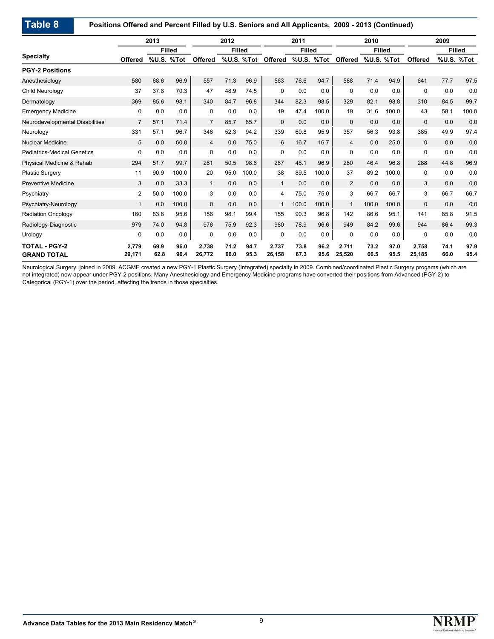**Positions Offered and Percent Filled by U.S. Seniors and All Applicants, 2009 - 2013 (Continued)**

|                                            |                 | 2013         |               | 2012            |               | 2011         |                 | 2010          |              |                 | 2009         |               |                 |              |               |
|--------------------------------------------|-----------------|--------------|---------------|-----------------|---------------|--------------|-----------------|---------------|--------------|-----------------|--------------|---------------|-----------------|--------------|---------------|
|                                            |                 |              | <b>Filled</b> |                 | <b>Filled</b> |              |                 | <b>Filled</b> |              |                 |              | <b>Filled</b> |                 |              | <b>Filled</b> |
| <b>Specialty</b>                           | <b>Offered</b>  | %U.S.        | %Tot          | Offered         | %U.S.         | %Tot         | <b>Offered</b>  | %U.S.         | %Tot         | Offered         | %U.S.        | %Tot          | <b>Offered</b>  |              | %U.S. %Tot    |
| <b>PGY-2 Positions</b>                     |                 |              |               |                 |               |              |                 |               |              |                 |              |               |                 |              |               |
| Anesthesiology                             | 580             | 68.6         | 96.9          | 557             | 71.3          | 96.9         | 563             | 76.6          | 94.7         | 588             | 71.4         | 94.9          | 641             | 77.7         | 97.5          |
| Child Neurology                            | 37              | 37.8         | 70.3          | 47              | 48.9          | 74.5         | 0               | 0.0           | 0.0          | $\mathbf 0$     | 0.0          | 0.0           | 0               | 0.0          | 0.0           |
| Dermatology                                | 369             | 85.6         | 98.1          | 340             | 84.7          | 96.8         | 344             | 82.3          | 98.5         | 329             | 82.1         | 98.8          | 310             | 84.5         | 99.7          |
| <b>Emergency Medicine</b>                  | 0               | 0.0          | 0.0           | 0               | 0.0           | 0.0          | 19              | 47.4          | 100.0        | 19              | 31.6         | 100.0         | 43              | 58.1         | 100.0         |
| Neurodevelopmental Disabilities            | $\overline{7}$  | 57.1         | 71.4          | $\overline{7}$  | 85.7          | 85.7         | $\mathbf 0$     | 0.0           | 0.0          | $\mathbf{0}$    | 0.0          | 0.0           | $\mathbf{0}$    | 0.0          | 0.0           |
| Neurology                                  | 331             | 57.1         | 96.7          | 346             | 52.3          | 94.2         | 339             | 60.8          | 95.9         | 357             | 56.3         | 93.8          | 385             | 49.9         | 97.4          |
| <b>Nuclear Medicine</b>                    | 5               | 0.0          | 60.0          | $\overline{4}$  | 0.0           | 75.0         | 6               | 16.7          | 16.7         | $\overline{4}$  | 0.0          | 25.0          | $\mathbf{0}$    | 0.0          | 0.0           |
| <b>Pediatrics-Medical Genetics</b>         | $\Omega$        | 0.0          | 0.0           | $\Omega$        | 0.0           | 0.0          | $\mathbf 0$     | 0.0           | 0.0          | $\Omega$        | 0.0          | 0.0           | 0               | 0.0          | 0.0           |
| Physical Medicine & Rehab                  | 294             | 51.7         | 99.7          | 281             | 50.5          | 98.6         | 287             | 48.1          | 96.9         | 280             | 46.4         | 96.8          | 288             | 44.8         | 96.9          |
| <b>Plastic Surgery</b>                     | 11              | 90.9         | 100.0         | 20              | 95.0          | 100.0        | 38              | 89.5          | 100.0        | 37              | 89.2         | 100.0         | 0               | 0.0          | 0.0           |
| <b>Preventive Medicine</b>                 | 3               | 0.0          | 33.3          | $\mathbf{1}$    | 0.0           | 0.0          | $\mathbf{1}$    | 0.0           | 0.0          | 2               | 0.0          | 0.0           | 3               | 0.0          | 0.0           |
| Psychiatry                                 | $\overline{2}$  | 50.0         | 100.0         | 3               | 0.0           | 0.0          | 4               | 75.0          | 75.0         | 3               | 66.7         | 66.7          | 3               | 66.7         | 66.7          |
| Psychiatry-Neurology                       | $\mathbf{1}$    | 0.0          | 100.0         | $\mathbf{0}$    | 0.0           | 0.0          | $\mathbf{1}$    | 100.0         | 100.0        | $\mathbf{1}$    | 100.0        | 100.0         | $\mathbf{0}$    | 0.0          | 0.0           |
| <b>Radiation Oncology</b>                  | 160             | 83.8         | 95.6          | 156             | 98.1          | 99.4         | 155             | 90.3          | 96.8         | 142             | 86.6         | 95.1          | 141             | 85.8         | 91.5          |
| Radiology-Diagnostic                       | 979             | 74.0         | 94.8          | 976             | 75.9          | 92.3         | 980             | 78.9          | 96.6         | 949             | 84.2         | 99.6          | 944             | 86.4         | 99.3          |
| Urology                                    | 0               | 0.0          | 0.0           | 0               | 0.0           | 0.0          | 0               | 0.0           | 0.0          | $\mathbf 0$     | 0.0          | 0.0           | 0               | 0.0          | 0.0           |
| <b>TOTAL - PGY-2</b><br><b>GRAND TOTAL</b> | 2.779<br>29,171 | 69.9<br>62.8 | 96.0<br>96.4  | 2,738<br>26,772 | 71.2<br>66.0  | 94.7<br>95.3 | 2,737<br>26,158 | 73.8<br>67.3  | 96.2<br>95.6 | 2,711<br>25,520 | 73.2<br>66.5 | 97.0<br>95.5  | 2,758<br>25,185 | 74.1<br>66.0 | 97.9<br>95.4  |

Neurological Surgery joined in 2009. ACGME created a new PGY-1 Plastic Surgery (Integrated) specialty in 2009. Combined/coordinated Plastic Surgery progams (which are not integrated) now appear under PGY-2 positions. Many Anesthesiology and Emergency Medicine programs have converted their positions from Advanced (PGY-2) to Categorical (PGY-1) over the period, affecting the trends in those specialties.

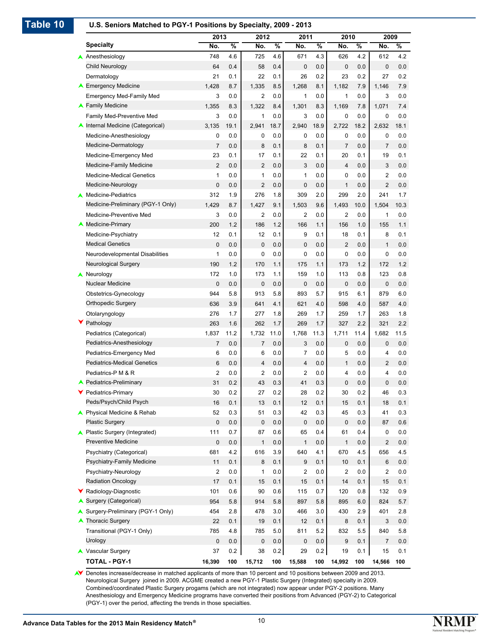## **Table 10 U.S. Seniors Matched to PGY-1 Positions by Specialty, 2009 - 2013**

|                                    | 2013           |               | 2012           |                          | 2011           |      | 2010           |                          | 2009           |      |
|------------------------------------|----------------|---------------|----------------|--------------------------|----------------|------|----------------|--------------------------|----------------|------|
| <b>Specialty</b>                   | No.            | $\frac{9}{6}$ | No.            | $\overline{\frac{9}{6}}$ | No.            | %    | No.            | $\overline{\frac{9}{6}}$ | No.            | %    |
| Anesthesiology                     | 748            | 4.6           | 725            | 4.6                      | 671            | 4.3  | 626            | 4.2                      | 612            | 4.2  |
| Child Neurology                    | 64             | 0.4           | 58             | 0.4                      | 0              | 0.0  | 0              | 0.0                      | $\mathbf 0$    | 0.0  |
| Dermatology                        | 21             | 0.1           | 22             | 0.1                      | 26             | 0.2  | 23             | 0.2                      | 27             | 0.2  |
| <b>▲ Emergency Medicine</b>        | 1,428          | 8.7           | 1,335          | 8.5                      | 1,268          | 8.1  | 1,182          | 7.9                      | 1.146          | 7.9  |
| <b>Emergency Med-Family Med</b>    | 3              | 0.0           | $\overline{c}$ | 0.0                      | $\mathbf{1}$   | 0.0  | 1              | 0.0                      | 3              | 0.0  |
| ▲ Family Medicine                  | 1,355          | 8.3           | 1,322          | 8.4                      | 1,301          | 8.3  | 1,169          | 7.8                      | 1,071          | 7.4  |
| <b>Family Med-Preventive Med</b>   | 3              | 0.0           | 1              | 0.0                      | 3              | 0.0  | 0              | 0.0                      | $\mathbf 0$    | 0.0  |
| A Internal Medicine (Categorical)  | 3,135          | 19.1          | 2,941          | 18.7                     | 2,940          | 18.9 | 2,722          | 18.2                     | 2,632          | 18.1 |
| Medicine-Anesthesiology            | 0              | 0.0           | 0              | 0.0                      | 0              | 0.0  | 0              | 0.0                      | 0              | 0.0  |
| Medicine-Dermatology               | $\overline{7}$ | 0.0           | 8              | 0.1                      | 8              | 0.1  | $\overline{7}$ | 0.0                      | $\overline{7}$ | 0.0  |
| Medicine-Emergency Med             | 23             | 0.1           | 17             | 0.1                      | 22             | 0.1  | 20             | 0.1                      | 19             | 0.1  |
| Medicine-Family Medicine           | $\overline{c}$ | 0.0           | $\overline{2}$ | 0.0                      | 3              | 0.0  | 4              | 0.0                      | 3              | 0.0  |
| <b>Medicine-Medical Genetics</b>   | 1              | 0.0           | 1              | 0.0                      | 1              | 0.0  | 0              | 0.0                      | 2              | 0.0  |
| Medicine-Neurology                 | 0              | 0.0           | $\overline{2}$ | 0.0                      | $\mathbf 0$    | 0.0  | $\mathbf{1}$   | 0.0                      | $\overline{2}$ | 0.0  |
| Medicine-Pediatrics                | 312            | 1.9           | 276            | 1.8                      | 309            | 2.0  | 299            | 2.0                      | 241            | 1.7  |
| Medicine-Preliminary (PGY-1 Only)  | 1,429          | 8.7           | 1,427          | 9.1                      | 1,503          | 9.6  | 1,493          | 10.0                     | 1,504          | 10.3 |
| Medicine-Preventive Med            | 3              | 0.0           | 2              | 0.0                      | 2              | 0.0  | 2              | 0.0                      | 1              | 0.0  |
| <b>Medicine-Primary</b>            | 200            | 1.2           | 186            | 1.2                      | 166            | 1.1  | 156            | 1.0                      | 155            | 1.1  |
| Medicine-Psychiatry                | 12             | 0.1           | 12             | 0.1                      | 9              | 0.1  | 18             | 0.1                      | 8              | 0.1  |
| <b>Medical Genetics</b>            | 0              | 0.0           | $\mathbf 0$    | 0.0                      | 0              | 0.0  | $\overline{2}$ | 0.0                      | $\mathbf{1}$   | 0.0  |
| Neurodevelopmental Disabilities    | 1              | 0.0           | 0              | 0.0                      | 0              | 0.0  | 0              | 0.0                      | 0              | 0.0  |
| <b>Neurological Surgery</b>        | 190            | 1.2           | 170            | 1.1                      | 175            | 1.1  | 173            | 1.2                      | 172            | 1.2  |
| Neurology                          | 172            | 1.0           | 173            | 1.1                      | 159            | 1.0  | 113            | 0.8                      | 123            | 0.8  |
| Nuclear Medicine                   | 0              | 0.0           | $\mathbf 0$    | 0.0                      | 0              | 0.0  | 0              | 0.0                      | $\mathbf 0$    | 0.0  |
| Obstetrics-Gynecology              | 944            | 5.8           | 913            | 5.8                      | 893            | 5.7  | 915            | 6.1                      | 879            | 6.0  |
| <b>Orthopedic Surgery</b>          | 636            | 3.9           | 641            | 4.1                      | 621            | 4.0  | 598            | 4.0                      | 587            | 4.0  |
| Otolaryngology                     | 276            | 1.7           | 277            | 1.8                      | 269            | 1.7  | 259            | 1.7                      | 263            | 1.8  |
| Pathology                          | 263            | 1.6           | 262            | 1.7                      | 269            | 1.7  | 327            | 2.2                      | 321            | 2.2  |
| Pediatrics (Categorical)           | 1,837          | 11.2          | 1,732          | 11.0                     | 1,768          | 11.3 | 1,711          | 11.4                     | 1,682          | 11.5 |
| Pediatrics-Anesthesiology          | $\overline{7}$ | 0.0           | $\overline{7}$ | 0.0                      | 3              | 0.0  | 0              | 0.0                      | 0              | 0.0  |
| Pediatrics-Emergency Med           | 6              | 0.0           | 6              | 0.0                      | 7              | 0.0  | 5              | 0.0                      | 4              | 0.0  |
| <b>Pediatrics-Medical Genetics</b> | 6              | 0.0           | $\overline{4}$ | 0.0                      | $\overline{4}$ | 0.0  | $\mathbf{1}$   | 0.0                      | $\overline{2}$ | 0.0  |
| Pediatrics-P M & R                 | $\overline{2}$ | 0.0           | $\overline{c}$ | 0.0                      | $\overline{2}$ | 0.0  | 4              | 0.0                      | 4              | 0.0  |
| <b>A</b> Pediatrics-Preliminary    | 31             | 0.2           | 43             | 0.3                      | 41             | 0.3  | 0              | 0.0                      | $\mathbf 0$    | 0.0  |
| Pediatrics-Primary                 | 30             | 0.2           | 27             | 0.2                      | 28             | 0.2  | 30             | 0.2                      | 46             | 0.3  |
| Peds/Psych/Child Psych             | 16             | 0.1           | 13             | 0.1                      | 12             | 0.1  | 15             | 0.1                      | 18             | 0.1  |
| ▲ Physical Medicine & Rehab        | 52             | 0.3           | 51             | 0.3                      | 42             | 0.3  | 45             | 0.3                      | 41             | 0.3  |
| <b>Plastic Surgery</b>             | 0              | 0.0           | $\pmb{0}$      | 0.0                      | 0              | 0.0  | $\mathbf 0$    | 0.0                      | 87             | 0.6  |
| ▲ Plastic Surgery (Integrated)     | 111            | 0.7           | 87             | 0.6                      | 65             | 0.4  | 61             | 0.4                      | 0              | 0.0  |
| <b>Preventive Medicine</b>         | 0              | 0.0           | $\mathbf{1}$   | 0.0                      | $\mathbf{1}$   | 0.0  | $\mathbf{1}$   | 0.0                      | 2              | 0.0  |
| Psychiatry (Categorical)           | 681            | 4.2           | 616            | 3.9                      | 640            | 4.1  | 670            | 4.5                      | 656            | 4.5  |
| Psychiatry-Family Medicine         | 11             | 0.1           | 8              | 0.1                      | 9              | 0.1  | 10             | 0.1                      | 6              | 0.0  |
| Psychiatry-Neurology               | 2              | 0.0           | 1              | 0.0                      | 2              | 0.0  | 2              | 0.0                      | 2              | 0.0  |
| <b>Radiation Oncology</b>          | 17             | 0.1           | 15             | 0.1                      | 15             | 0.1  | 14             | 0.1                      | 15             | 0.1  |
| ▼ Radiology-Diagnostic             | 101            | 0.6           | 90             | 0.6                      | 115            | 0.7  | 120            | 0.8                      | 132            | 0.9  |
| ▲ Surgery (Categorical)            | 954            | 5.8           | 914            | 5.8                      | 897            | 5.8  | 895            | 6.0                      | 824            | 5.7  |
| Surgery-Preliminary (PGY-1 Only)   | 454            | 2.8           | 478            | 3.0                      | 466            | 3.0  | 430            | 2.9                      | 401            | 2.8  |
| ▲ Thoracic Surgery                 | 22             | 0.1           | 19             | 0.1                      | 12             | 0.1  | 8              | 0.1                      | 3              | 0.0  |
| Transitional (PGY-1 Only)          | 785            | 4.8           | 785            | 5.0                      | 811            | 5.2  | 832            | 5.5                      | 840            | 5.8  |
| Urology                            | 0              | 0.0           | 0              | 0.0                      | 0              | 0.0  | 9              | 0.1                      | $\overline{7}$ | 0.0  |
| ▲ Vascular Surgery                 | 37             | 0.2           | 38             | 0.2                      | 29             | 0.2  | 19             | 0.1                      | 15             | 0.1  |
| <b>TOTAL - PGY-1</b>               | 16,390         | 100           | 15,712         | 100                      | 15,588         | 100  | 14,992         | 100                      | 14,566         | 100  |

V Denotes increase/decrease in matched applicants of more than 10 percent and 10 positions between 2009 and 2013. Neurological Surgery joined in 2009. ACGME created a new PGY-1 Plastic Surgery (Integrated) specialty in 2009. Combined/coordinated Plastic Surgery progams (which are not integrated) now appear under PGY-2 positions. Many Anesthesiology and Emergency Medicine programs have converted their positions from Advanced (PGY-2) to Categorical (PGY-1) over the period, affecting the trends in those specialties.

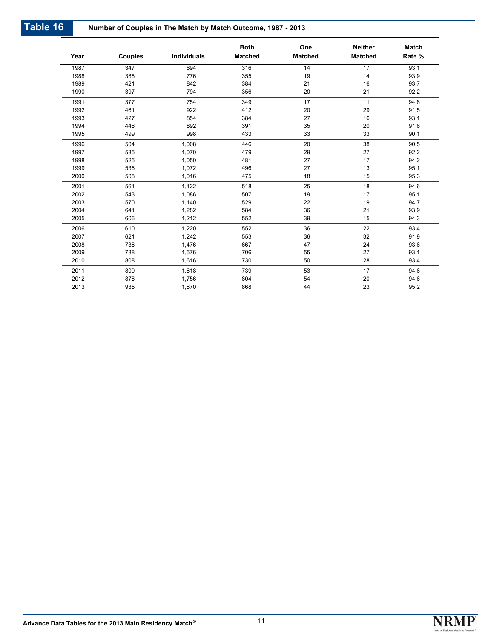| Year | <b>Couples</b> | <b>Individuals</b> | <b>Both</b><br><b>Matched</b> | One<br><b>Matched</b> | <b>Neither</b><br><b>Matched</b> | <b>Match</b><br>Rate % |
|------|----------------|--------------------|-------------------------------|-----------------------|----------------------------------|------------------------|
| 1987 | 347            | 694                | 316                           | 14                    | $\overline{17}$                  | 93.1                   |
| 1988 | 388            | 776                | 355                           | 19                    | 14                               | 93.9                   |
| 1989 | 421            | 842                | 384                           | 21                    | 16                               | 93.7                   |
| 1990 | 397            | 794                | 356                           | 20                    | 21                               | 92.2                   |
| 1991 | 377            | 754                | 349                           | 17                    | 11                               | 94.8                   |
| 1992 | 461            | 922                | 412                           | 20                    | 29                               | 91.5                   |
| 1993 | 427            | 854                | 384                           | 27                    | 16                               | 93.1                   |
| 1994 | 446            | 892                | 391                           | 35                    | 20                               | 91.6                   |
| 1995 | 499            | 998                | 433                           | 33                    | 33                               | 90.1                   |
| 1996 | 504            | 1,008              | 446                           | 20                    | 38                               | 90.5                   |
| 1997 | 535            | 1,070              | 479                           | 29                    | 27                               | 92.2                   |
| 1998 | 525            | 1,050              | 481                           | 27                    | 17                               | 94.2                   |
| 1999 | 536            | 1,072              | 496                           | 27                    | 13                               | 95.1                   |
| 2000 | 508            | 1,016              | 475                           | 18                    | 15                               | 95.3                   |
| 2001 | 561            | 1,122              | 518                           | 25                    | 18                               | 94.6                   |
| 2002 | 543            | 1,086              | 507                           | 19                    | 17                               | 95.1                   |
| 2003 | 570            | 1,140              | 529                           | 22                    | 19                               | 94.7                   |
| 2004 | 641            | 1,282              | 584                           | 36                    | 21                               | 93.9                   |
| 2005 | 606            | 1,212              | 552                           | 39                    | 15                               | 94.3                   |
| 2006 | 610            | 1,220              | 552                           | 36                    | 22                               | 93.4                   |
| 2007 | 621            | 1,242              | 553                           | 36                    | 32                               | 91.9                   |
| 2008 | 738            | 1,476              | 667                           | 47                    | 24                               | 93.6                   |
| 2009 | 788            | 1,576              | 706                           | 55                    | 27                               | 93.1                   |
| 2010 | 808            | 1,616              | 730                           | 50                    | 28                               | 93.4                   |
| 2011 | 809            | 1,618              | 739                           | 53                    | 17                               | 94.6                   |
| 2012 | 878            | 1,756              | 804                           | 54                    | 20                               | 94.6                   |
| 2013 | 935            | 1,870              | 868                           | 44                    | 23                               | 95.2                   |